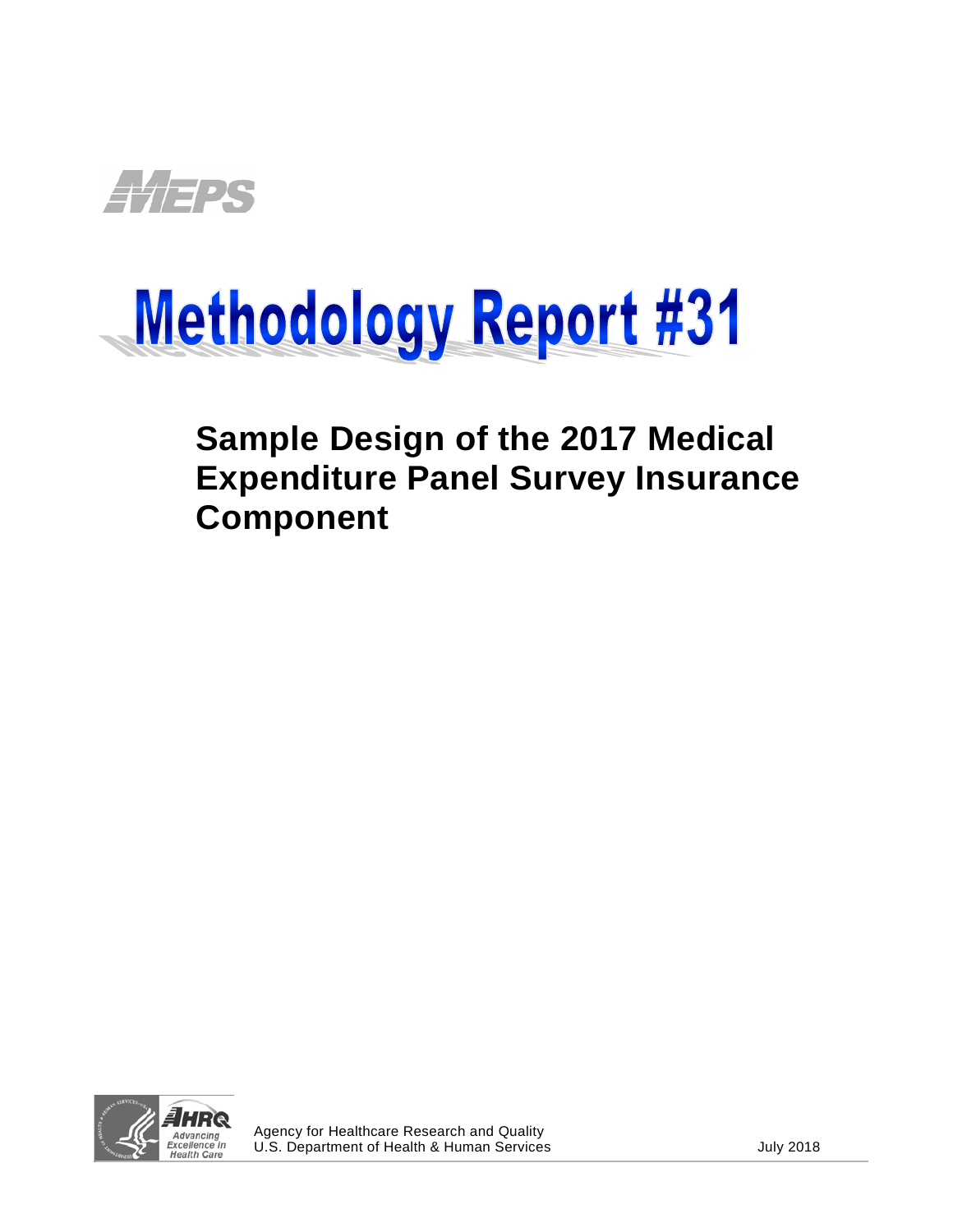

# Methodology Report #31

## **Sample Design of the 2017 Medical Expenditure Panel Survey Insurance Component**

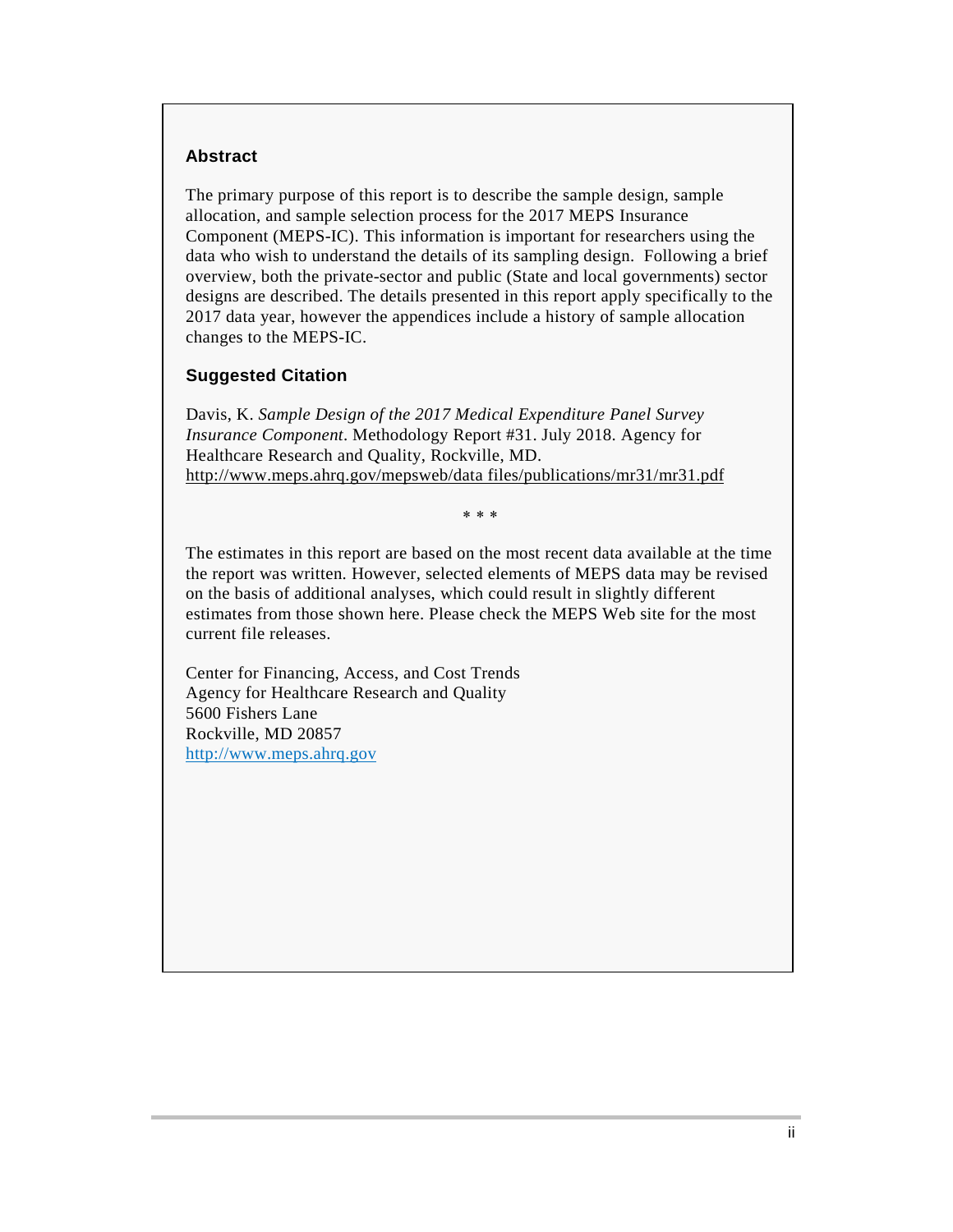#### **Abstract**

The primary purpose of this report is to describe the sample design, sample allocation, and sample selection process for the 2017 MEPS Insurance Component (MEPS-IC). This information is important for researchers using the data who wish to understand the details of its sampling design. Following a brief overview, both the private-sector and public (State and local governments) sector designs are described. The details presented in this report apply specifically to the 2017 data year, however the appendices include a history of sample allocation changes to the MEPS-IC.

#### **Suggested Citation**

Davis, K. *Sample Design of the 2017 Medical Expenditure Panel Survey Insurance Component*. Methodology Report #31. July 2018. Agency for Healthcare Research and Quality, Rockville, MD. [http://www.meps.ahrq.gov/mepsweb/data files/publications/mr31/mr31.pdf](/mepsweb/data_files/publications/mr31/mr31.pdf)

∗ ∗ ∗

The estimates in this report are based on the most recent data available at the time the report was written. However, selected elements of MEPS data may be revised on the basis of additional analyses, which could result in slightly different estimates from those shown here. Please check the MEPS Web site for the most current file releases.

Center for Financing, Access, and Cost Trends Agency for Healthcare Research and Quality 5600 Fishers Lane Rockville, MD 20857 [http://www.meps.ahrq.gov](http://www.meps.ahrq.gov/)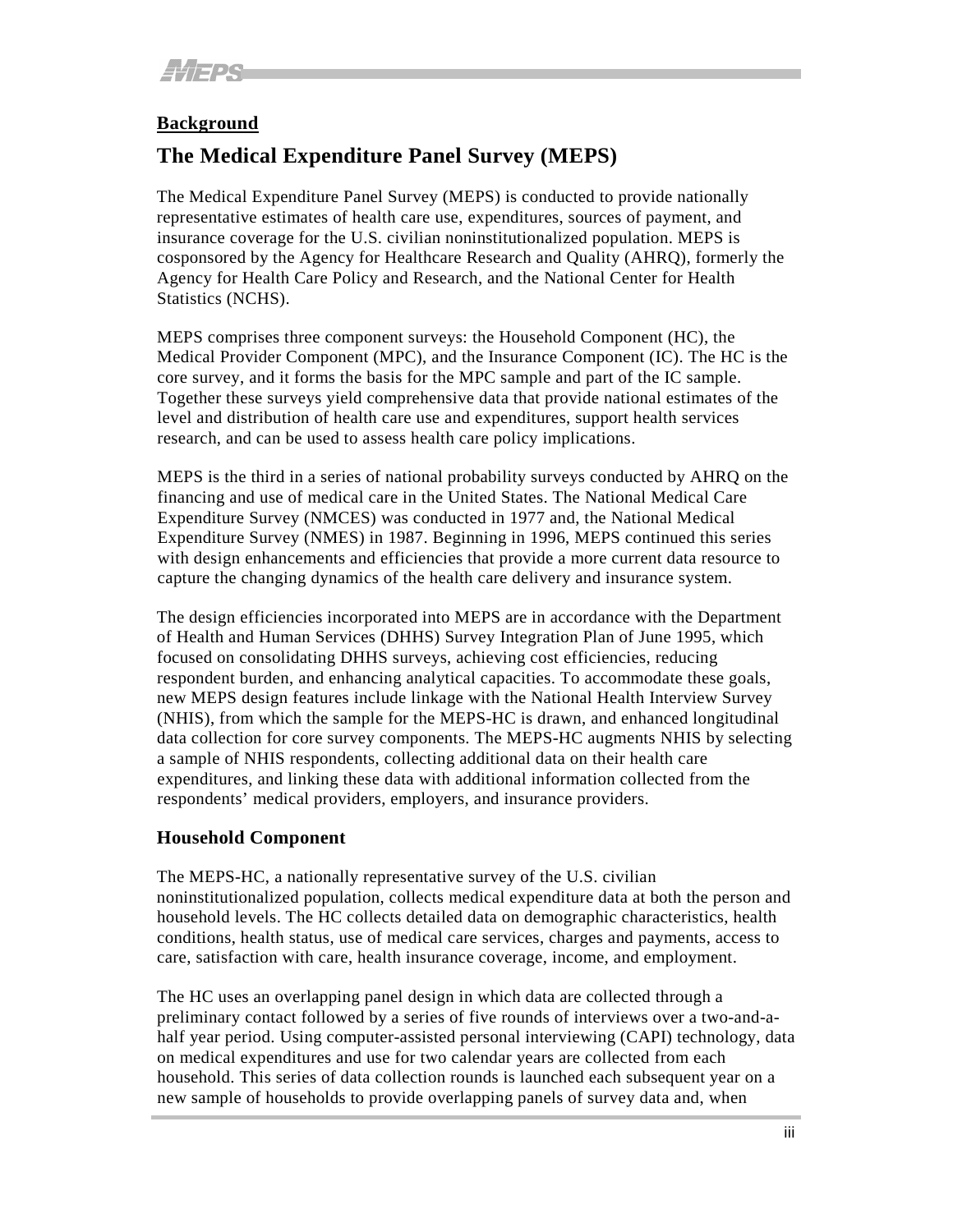#### **Background**

#### **The Medical Expenditure Panel Survey (MEPS)**

The Medical Expenditure Panel Survey (MEPS) is conducted to provide nationally representative estimates of health care use, expenditures, sources of payment, and insurance coverage for the U.S. civilian noninstitutionalized population. MEPS is cosponsored by the Agency for Healthcare Research and Quality (AHRQ), formerly the Agency for Health Care Policy and Research, and the National Center for Health Statistics (NCHS).

MEPS comprises three component surveys: the Household Component (HC), the Medical Provider Component (MPC), and the Insurance Component (IC). The HC is the core survey, and it forms the basis for the MPC sample and part of the IC sample. Together these surveys yield comprehensive data that provide national estimates of the level and distribution of health care use and expenditures, support health services research, and can be used to assess health care policy implications.

MEPS is the third in a series of national probability surveys conducted by AHRQ on the financing and use of medical care in the United States. The National Medical Care Expenditure Survey (NMCES) was conducted in 1977 and, the National Medical Expenditure Survey (NMES) in 1987. Beginning in 1996, MEPS continued this series with design enhancements and efficiencies that provide a more current data resource to capture the changing dynamics of the health care delivery and insurance system.

The design efficiencies incorporated into MEPS are in accordance with the Department of Health and Human Services (DHHS) Survey Integration Plan of June 1995, which focused on consolidating DHHS surveys, achieving cost efficiencies, reducing respondent burden, and enhancing analytical capacities. To accommodate these goals, new MEPS design features include linkage with the National Health Interview Survey (NHIS), from which the sample for the MEPS-HC is drawn, and enhanced longitudinal data collection for core survey components. The MEPS-HC augments NHIS by selecting a sample of NHIS respondents, collecting additional data on their health care expenditures, and linking these data with additional information collected from the respondents' medical providers, employers, and insurance providers.

#### **Household Component**

The MEPS-HC, a nationally representative survey of the U.S. civilian noninstitutionalized population, collects medical expenditure data at both the person and household levels. The HC collects detailed data on demographic characteristics, health conditions, health status, use of medical care services, charges and payments, access to care, satisfaction with care, health insurance coverage, income, and employment.

The HC uses an overlapping panel design in which data are collected through a preliminary contact followed by a series of five rounds of interviews over a two-and-ahalf year period. Using computer-assisted personal interviewing (CAPI) technology, data on medical expenditures and use for two calendar years are collected from each household. This series of data collection rounds is launched each subsequent year on a new sample of households to provide overlapping panels of survey data and, when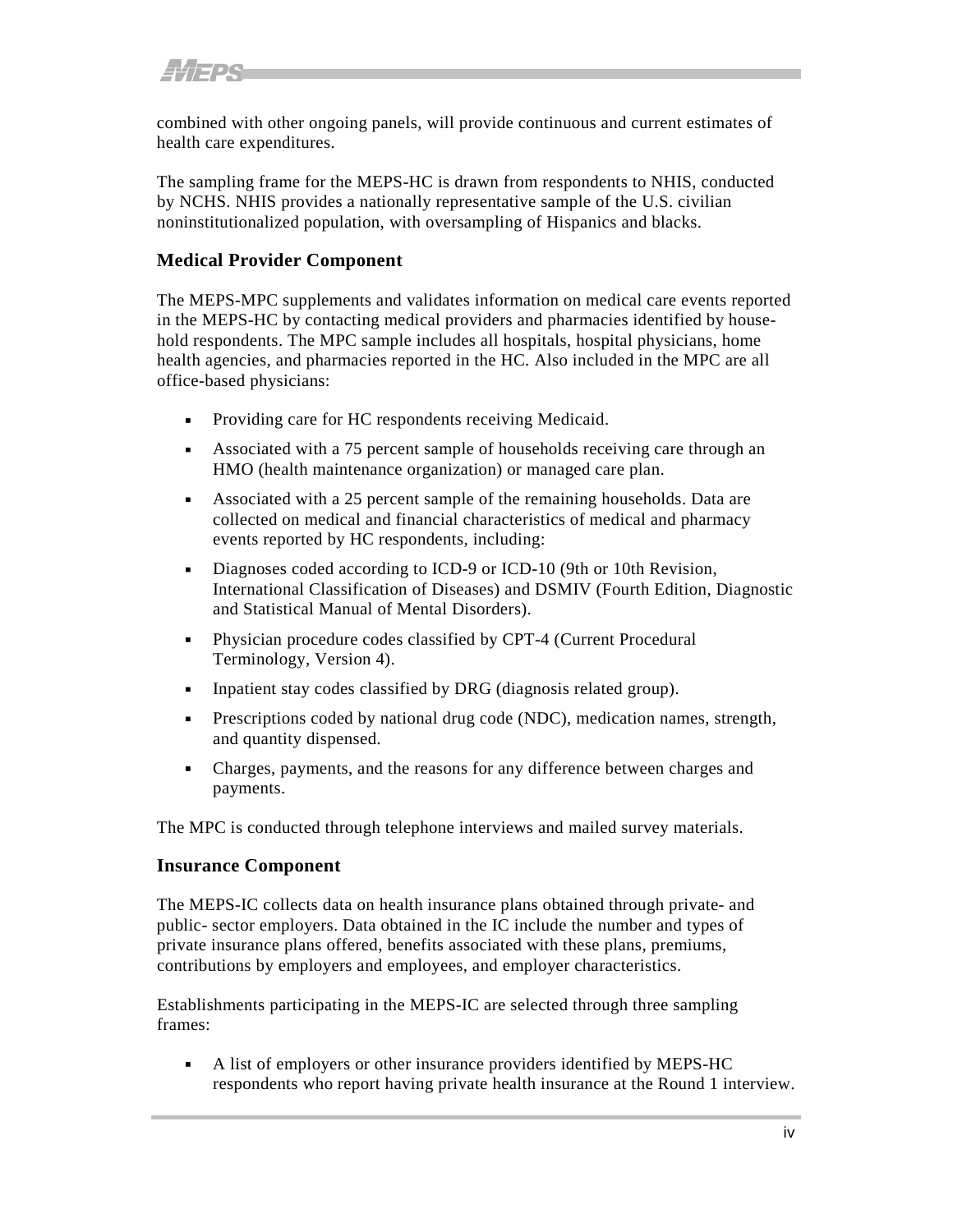combined with other ongoing panels, will provide continuous and current estimates of health care expenditures.

The sampling frame for the MEPS-HC is drawn from respondents to NHIS, conducted by NCHS. NHIS provides a nationally representative sample of the U.S. civilian noninstitutionalized population, with oversampling of Hispanics and blacks.

#### **Medical Provider Component**

The MEPS-MPC supplements and validates information on medical care events reported in the MEPS-HC by contacting medical providers and pharmacies identified by household respondents. The MPC sample includes all hospitals, hospital physicians, home health agencies, and pharmacies reported in the HC. Also included in the MPC are all office-based physicians:

- Providing care for HC respondents receiving Medicaid.
- Associated with a 75 percent sample of households receiving care through an HMO (health maintenance organization) or managed care plan.
- Associated with a 25 percent sample of the remaining households. Data are collected on medical and financial characteristics of medical and pharmacy events reported by HC respondents, including:
- Diagnoses coded according to ICD-9 or ICD-10 (9th or 10th Revision, International Classification of Diseases) and DSMIV (Fourth Edition, Diagnostic and Statistical Manual of Mental Disorders).
- Physician procedure codes classified by CPT-4 (Current Procedural Terminology, Version 4).
- Inpatient stay codes classified by DRG (diagnosis related group).
- Prescriptions coded by national drug code (NDC), medication names, strength, and quantity dispensed.
- Charges, payments, and the reasons for any difference between charges and payments.

The MPC is conducted through telephone interviews and mailed survey materials.

#### **Insurance Component**

The MEPS-IC collects data on health insurance plans obtained through private- and public- sector employers. Data obtained in the IC include the number and types of private insurance plans offered, benefits associated with these plans, premiums, contributions by employers and employees, and employer characteristics.

Establishments participating in the MEPS-IC are selected through three sampling frames:

 A list of employers or other insurance providers identified by MEPS-HC respondents who report having private health insurance at the Round 1 interview.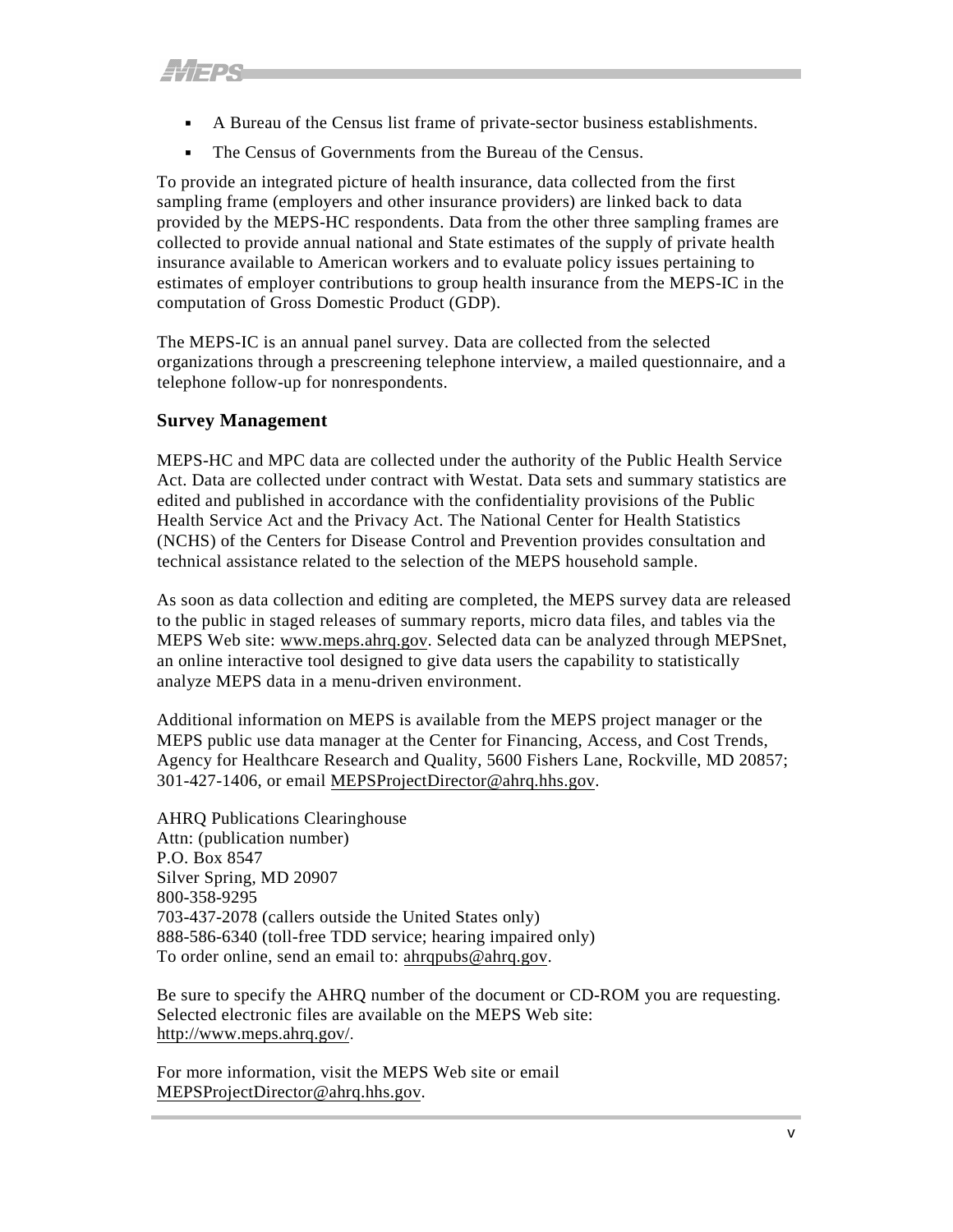- A Bureau of the Census list frame of private-sector business establishments.
- The Census of Governments from the Bureau of the Census.

To provide an integrated picture of health insurance, data collected from the first sampling frame (employers and other insurance providers) are linked back to data provided by the MEPS-HC respondents. Data from the other three sampling frames are collected to provide annual national and State estimates of the supply of private health insurance available to American workers and to evaluate policy issues pertaining to estimates of employer contributions to group health insurance from the MEPS-IC in the computation of Gross Domestic Product (GDP).

The MEPS-IC is an annual panel survey. Data are collected from the selected organizations through a prescreening telephone interview, a mailed questionnaire, and a telephone follow-up for nonrespondents.

#### **Survey Management**

MEPS-HC and MPC data are collected under the authority of the Public Health Service Act. Data are collected under contract with Westat. Data sets and summary statistics are edited and published in accordance with the confidentiality provisions of the Public Health Service Act and the Privacy Act. The National Center for Health Statistics (NCHS) of the Centers for Disease Control and Prevention provides consultation and technical assistance related to the selection of the MEPS household sample.

As soon as data collection and editing are completed, the MEPS survey data are released to the public in staged releases of summary reports, micro data files, and tables via the MEPS Web site: [www.meps.ahrq.gov.](http://www.meps.ahrq.gov/) Selected data can be analyzed through MEPSnet, an online interactive tool designed to give data users the capability to statistically analyze MEPS data in a menu-driven environment.

Additional information on MEPS is available from the MEPS project manager or the MEPS public use data manager at the Center for Financing, Access, and Cost Trends, Agency for Healthcare Research and Quality, 5600 Fishers Lane, Rockville, MD 20857; 301-427-1406, or email [MEPSProjectDirector@ahrq.hhs.gov.](mailto:MEPSProjectDirector@ahrq.hhs.gov)

AHRQ Publications Clearinghouse Attn: (publication number) P.O. Box 8547 Silver Spring, MD 20907 800-358-9295 703-437-2078 (callers outside the United States only) 888-586-6340 (toll-free TDD service; hearing impaired only) To order online, send an email to: [ahrqpubs@ahrq.gov.](mailto:ahrqpubs@ahrq.gov)

Be sure to specify the AHRQ number of the document or CD-ROM you are requesting. Selected electronic files are available on the MEPS Web site: <http://www.meps.ahrq.gov/>.

For more information, visit the MEPS Web site or email [MEPSProjectDirector@ahrq.hhs.gov.](mailto:MEPSProjectDirector@ahrq.hhs.gov)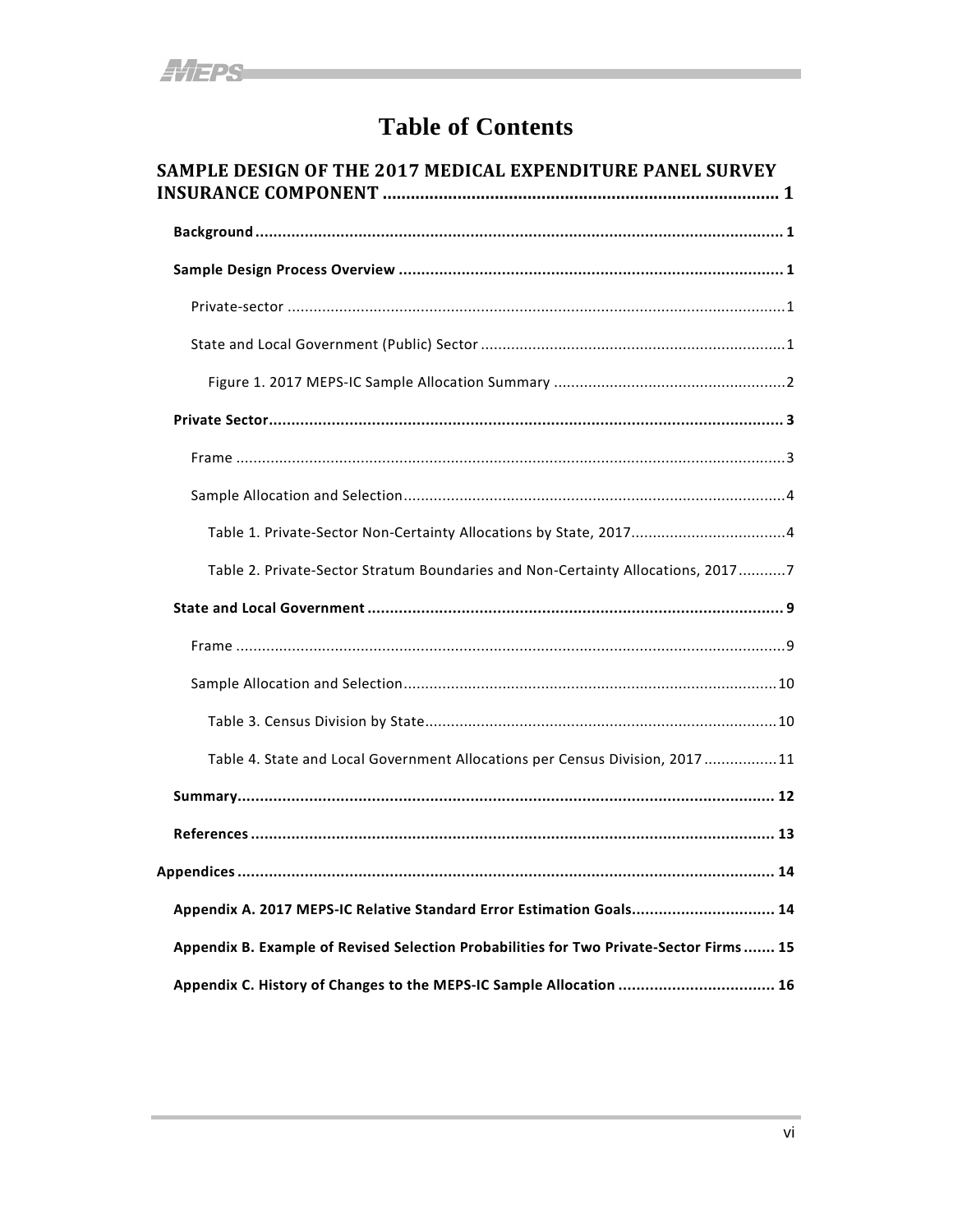## **Table of Contents**

| SAMPLE DESIGN OF THE 2017 MEDICAL EXPENDITURE PANEL SURVEY                              |
|-----------------------------------------------------------------------------------------|
|                                                                                         |
|                                                                                         |
|                                                                                         |
|                                                                                         |
|                                                                                         |
|                                                                                         |
|                                                                                         |
|                                                                                         |
|                                                                                         |
| Table 2. Private-Sector Stratum Boundaries and Non-Certainty Allocations, 20177         |
|                                                                                         |
|                                                                                         |
|                                                                                         |
|                                                                                         |
| Table 4. State and Local Government Allocations per Census Division, 2017 11            |
|                                                                                         |
|                                                                                         |
|                                                                                         |
| Appendix A. 2017 MEPS-IC Relative Standard Error Estimation Goals 14                    |
| Appendix B. Example of Revised Selection Probabilities for Two Private-Sector Firms  15 |
| Appendix C. History of Changes to the MEPS-IC Sample Allocation  16                     |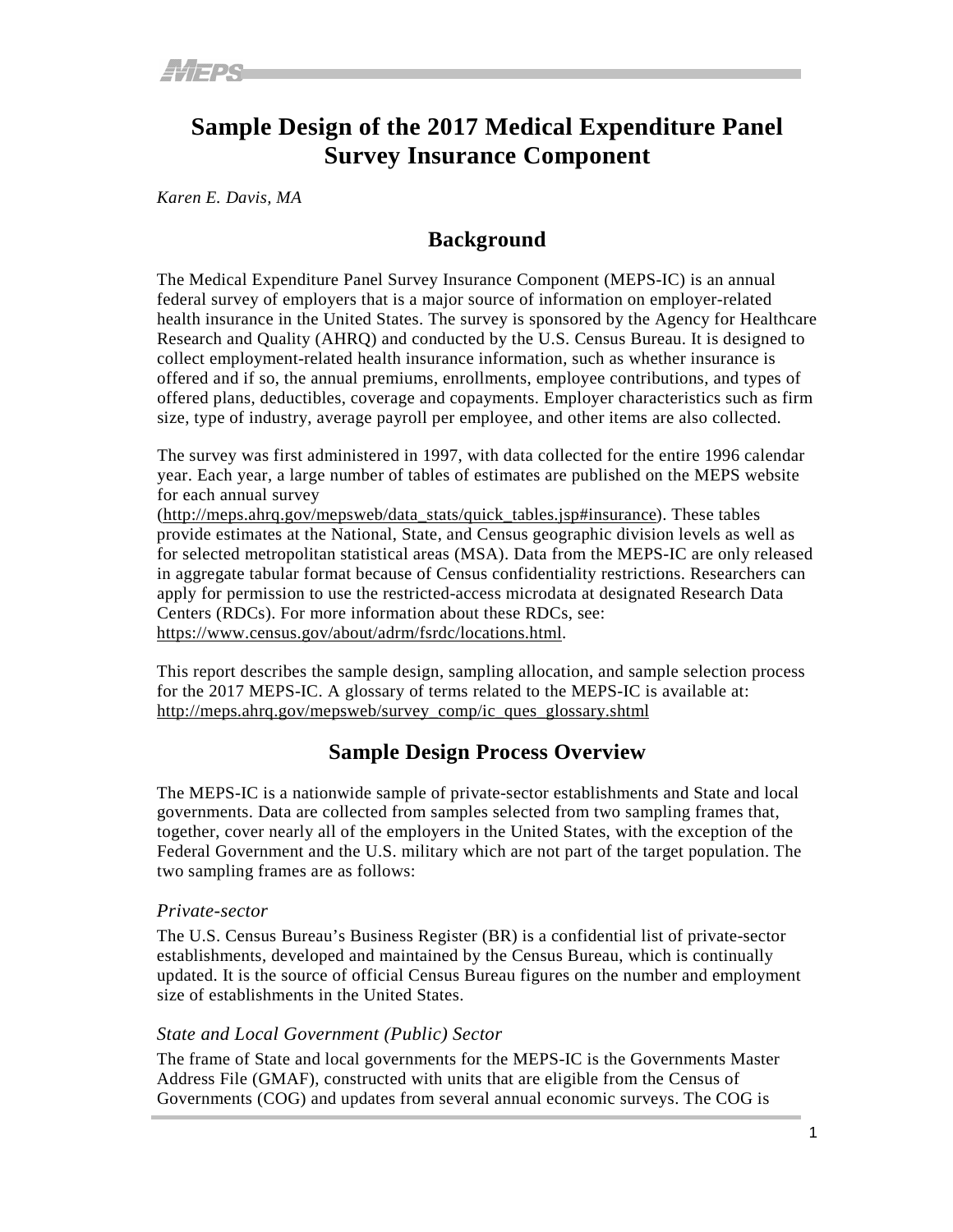### <span id="page-6-0"></span>**Sample Design of the 2017 Medical Expenditure Panel Survey Insurance Component**

<span id="page-6-1"></span>*Karen E. Davis, MA*

#### **Background**

The Medical Expenditure Panel Survey Insurance Component (MEPS-IC) is an annual federal survey of employers that is a major source of information on employer-related health insurance in the United States. The survey is sponsored by the Agency for Healthcare Research and Quality (AHRQ) and conducted by the U.S. Census Bureau. It is designed to collect employment-related health insurance information, such as whether insurance is offered and if so, the annual premiums, enrollments, employee contributions, and types of offered plans, deductibles, coverage and copayments. Employer characteristics such as firm size, type of industry, average payroll per employee, and other items are also collected.

The survey was first administered in 1997, with data collected for the entire 1996 calendar year. Each year, a large number of tables of estimates are published on the MEPS website for each annual survey

[\(http://meps.ahrq.gov/mepsweb/data\\_stats/quick\\_tables.jsp#insurance\)](http://meps.ahrq.gov/mepsweb/data_stats/quick_tables.jsp#insurance). These tables provide estimates at the National, State, and Census geographic division levels as well as for selected metropolitan statistical areas (MSA). Data from the MEPS-IC are only released in aggregate tabular format because of Census confidentiality restrictions. Researchers can apply for permission to use the restricted-access microdata at designated Research Data Centers (RDCs). For more information about these RDCs, see: [https://www.census.gov/about/adrm/fsrdc/locations.html.](https://www.census.gov/about/adrm/fsrdc/locations.html)

This report describes the sample design, sampling allocation, and sample selection process for the 2017 MEPS-IC. A glossary of terms related to the MEPS-IC is available at: [http://meps.ahrq.gov/mepsweb/survey\\_comp/ic\\_ques\\_glossary.shtml](http://meps.ahrq.gov/mepsweb/survey_comp/ic_ques_glossary.shtml)

#### **Sample Design Process Overview**

<span id="page-6-2"></span>The MEPS-IC is a nationwide sample of private-sector establishments and State and local governments. Data are collected from samples selected from two sampling frames that, together, cover nearly all of the employers in the United States, with the exception of the Federal Government and the U.S. military which are not part of the target population. The two sampling frames are as follows:

#### <span id="page-6-3"></span>*Private-sector*

The U.S. Census Bureau's Business Register (BR) is a confidential list of private-sector establishments, developed and maintained by the Census Bureau, which is continually updated. It is the source of official Census Bureau figures on the number and employment size of establishments in the United States.

#### <span id="page-6-4"></span>*State and Local Government (Public) Sector*

The frame of State and local governments for the MEPS-IC is the Governments Master Address File (GMAF), constructed with units that are eligible from the Census of Governments (COG) and updates from several annual economic surveys. The COG is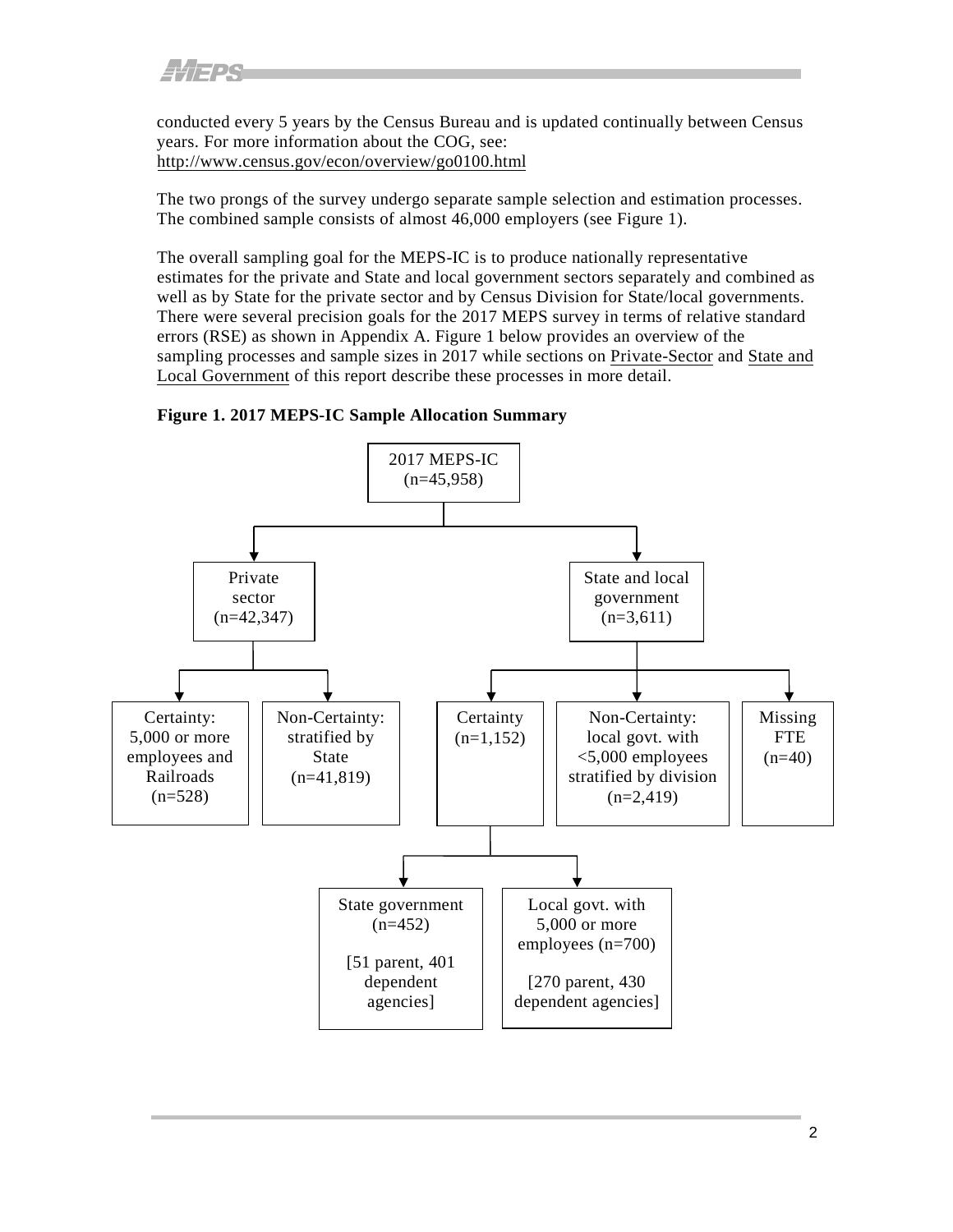conducted every 5 years by the Census Bureau and is updated continually between Census years. For more information about the COG, see: <http://www.census.gov/econ/overview/go0100.html>

The two prongs of the survey undergo separate sample selection and estimation processes. The combined sample consists of almost 46,000 employers (see Figure 1).

The overall sampling goal for the MEPS-IC is to produce nationally representative estimates for the private and State and local government sectors separately and combined as well as by State for the private sector and by Census Division for State/local governments. There were several precision goals for the 2017 MEPS survey in terms of relative standard errors (RSE) as shown in Appendix A. Figure 1 below provides an overview of the sampling processes and sample sizes in 2017 while sections on [Private-Sector](#page-8-2) and [State](#page-14-2) and Local [Government](#page-14-3) of this report describe these processes in more detail.

<span id="page-7-0"></span>

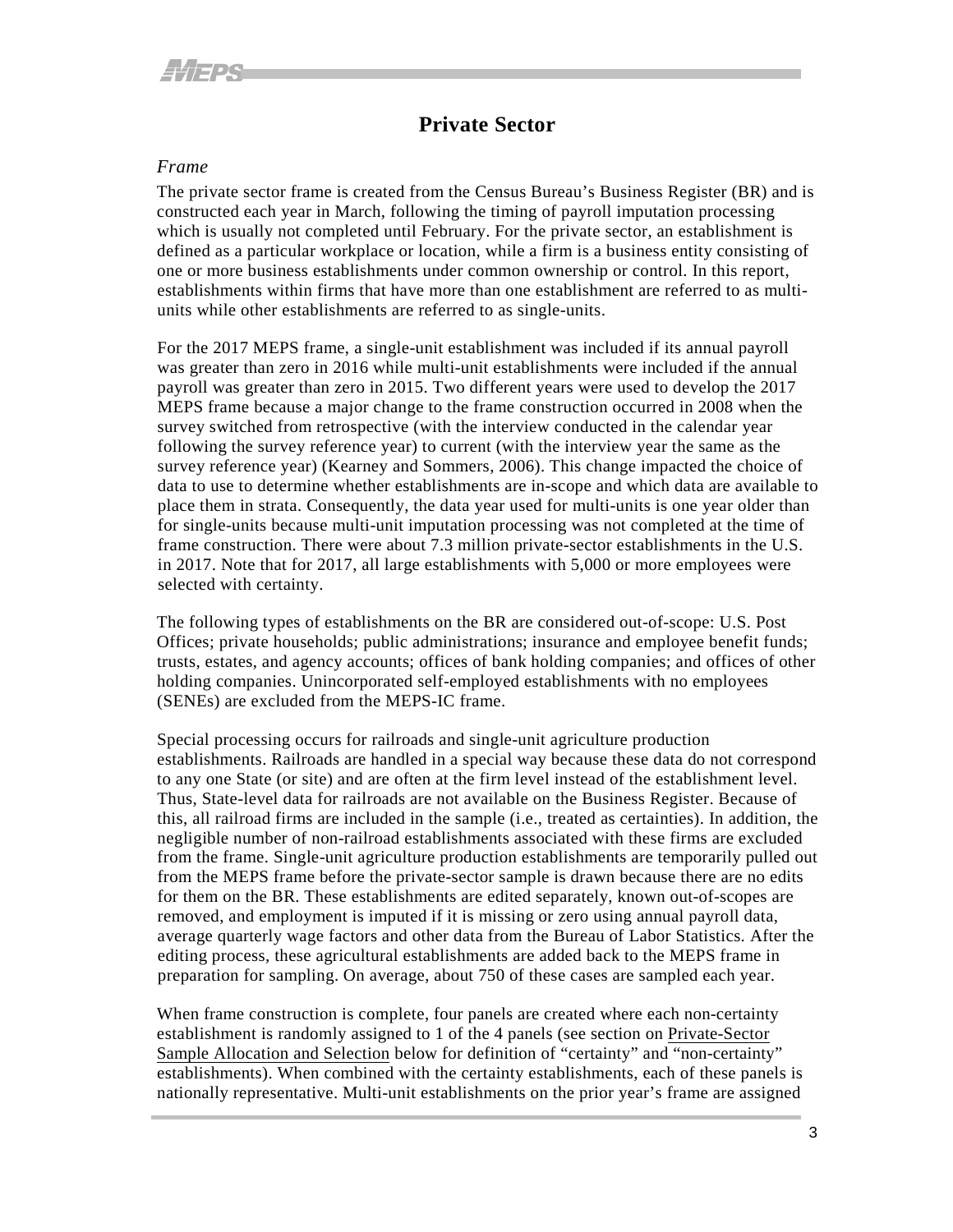#### **Private Sector**

#### <span id="page-8-2"></span><span id="page-8-1"></span><span id="page-8-0"></span>*Frame*

The private sector frame is created from the Census Bureau's Business Register (BR) and is constructed each year in March, following the timing of payroll imputation processing which is usually not completed until February. For the private sector, an establishment is defined as a particular workplace or location, while a firm is a business entity consisting of one or more business establishments under common ownership or control. In this report, establishments within firms that have more than one establishment are referred to as multiunits while other establishments are referred to as single-units.

For the 2017 MEPS frame, a single-unit establishment was included if its annual payroll was greater than zero in 2016 while multi-unit establishments were included if the annual payroll was greater than zero in 2015. Two different years were used to develop the 2017 MEPS frame because a major change to the frame construction occurred in 2008 when the survey switched from retrospective (with the interview conducted in the calendar year following the survey reference year) to current (with the interview year the same as the survey reference year) (Kearney and Sommers, 2006). This change impacted the choice of data to use to determine whether establishments are in-scope and which data are available to place them in strata. Consequently, the data year used for multi-units is one year older than for single-units because multi-unit imputation processing was not completed at the time of frame construction. There were about 7.3 million private-sector establishments in the U.S. in 2017. Note that for 2017, all large establishments with 5,000 or more employees were selected with certainty.

The following types of establishments on the BR are considered out-of-scope: U.S. Post Offices; private households; public administrations; insurance and employee benefit funds; trusts, estates, and agency accounts; offices of bank holding companies; and offices of other holding companies. Unincorporated self-employed establishments with no employees (SENEs) are excluded from the MEPS-IC frame.

Special processing occurs for railroads and single-unit agriculture production establishments. Railroads are handled in a special way because these data do not correspond to any one State (or site) and are often at the firm level instead of the establishment level. Thus, State-level data for railroads are not available on the Business Register. Because of this, all railroad firms are included in the sample (i.e., treated as certainties). In addition, the negligible number of non-railroad establishments associated with these firms are excluded from the frame. Single-unit agriculture production establishments are temporarily pulled out from the MEPS frame before the private-sector sample is drawn because there are no edits for them on the BR. These establishments are edited separately, known out-of-scopes are removed, and employment is imputed if it is missing or zero using annual payroll data, average quarterly wage factors and other data from the Bureau of Labor Statistics. After the editing process, these agricultural establishments are added back to the MEPS frame in preparation for sampling. On average, about 750 of these cases are sampled each year.

When frame construction is complete, four panels are created where each non-certainty establishment is randomly assigned to 1 of the 4 panels (see section on [Private-Sector](#page-9-2) Sample [Allocation](#page-9-2) and Selection below for definition of "certainty" and "non-certainty" establishments). When combined with the certainty establishments, each of these panels is nationally representative. Multi-unit establishments on the prior year's frame are assigned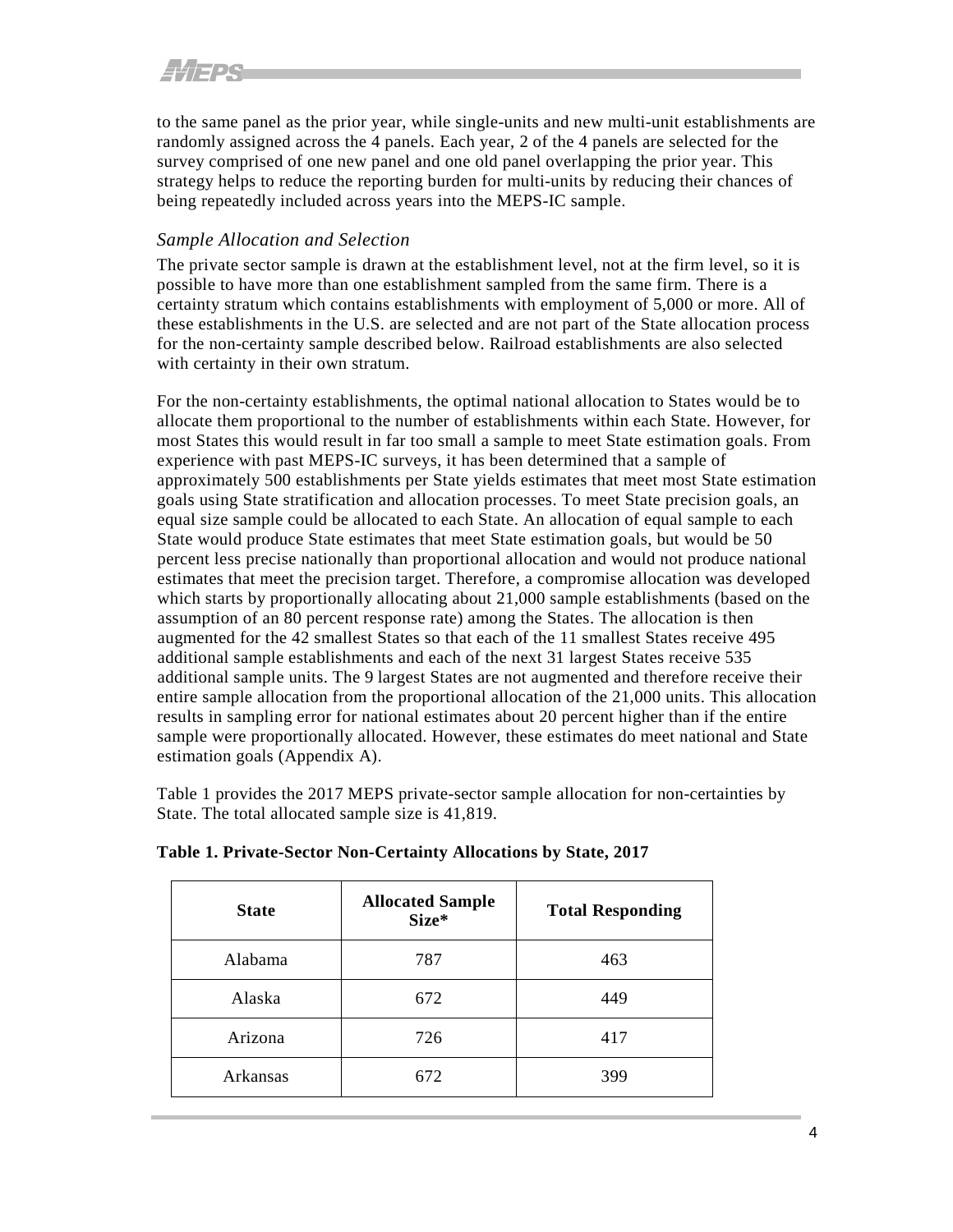## <span id="page-9-2"></span>*ALIEDS*

to the same panel as the prior year, while single-units and new multi-unit establishments are randomly assigned across the 4 panels. Each year, 2 of the 4 panels are selected for the survey comprised of one new panel and one old panel overlapping the prior year. This strategy helps to reduce the reporting burden for multi-units by reducing their chances of being repeatedly included across years into the MEPS-IC sample.

#### <span id="page-9-0"></span>*Sample Allocation and Selection*

The private sector sample is drawn at the establishment level, not at the firm level, so it is possible to have more than one establishment sampled from the same firm. There is a certainty stratum which contains establishments with employment of 5,000 or more. All of these establishments in the U.S. are selected and are not part of the State allocation process for the non-certainty sample described below. Railroad establishments are also selected with certainty in their own stratum.

For the non-certainty establishments, the optimal national allocation to States would be to allocate them proportional to the number of establishments within each State. However, for most States this would result in far too small a sample to meet State estimation goals. From experience with past MEPS-IC surveys, it has been determined that a sample of approximately 500 establishments per State yields estimates that meet most State estimation goals using State stratification and allocation processes. To meet State precision goals, an equal size sample could be allocated to each State. An allocation of equal sample to each State would produce State estimates that meet State estimation goals, but would be 50 percent less precise nationally than proportional allocation and would not produce national estimates that meet the precision target. Therefore, a compromise allocation was developed which starts by proportionally allocating about 21,000 sample establishments (based on the assumption of an 80 percent response rate) among the States. The allocation is then augmented for the 42 smallest States so that each of the 11 smallest States receive 495 additional sample establishments and each of the next 31 largest States receive 535 additional sample units. The 9 largest States are not augmented and therefore receive their entire sample allocation from the proportional allocation of the 21,000 units. This allocation results in sampling error for national estimates about 20 percent higher than if the entire sample were proportionally allocated. However, these estimates do meet national and State estimation goals (Appendix A).

Table 1 provides the 2017 MEPS private-sector sample allocation for non-certainties by State. The total allocated sample size is 41,819.

| <b>State</b> | <b>Allocated Sample</b><br>Size* | <b>Total Responding</b> |
|--------------|----------------------------------|-------------------------|
| Alabama      | 787                              | 463                     |
| Alaska       | 672                              | 449                     |
| Arizona      | 726                              | 417                     |
| Arkansas     | 672                              | 399                     |

#### <span id="page-9-1"></span>**Table 1. Private-Sector Non-Certainty Allocations by State, 2017**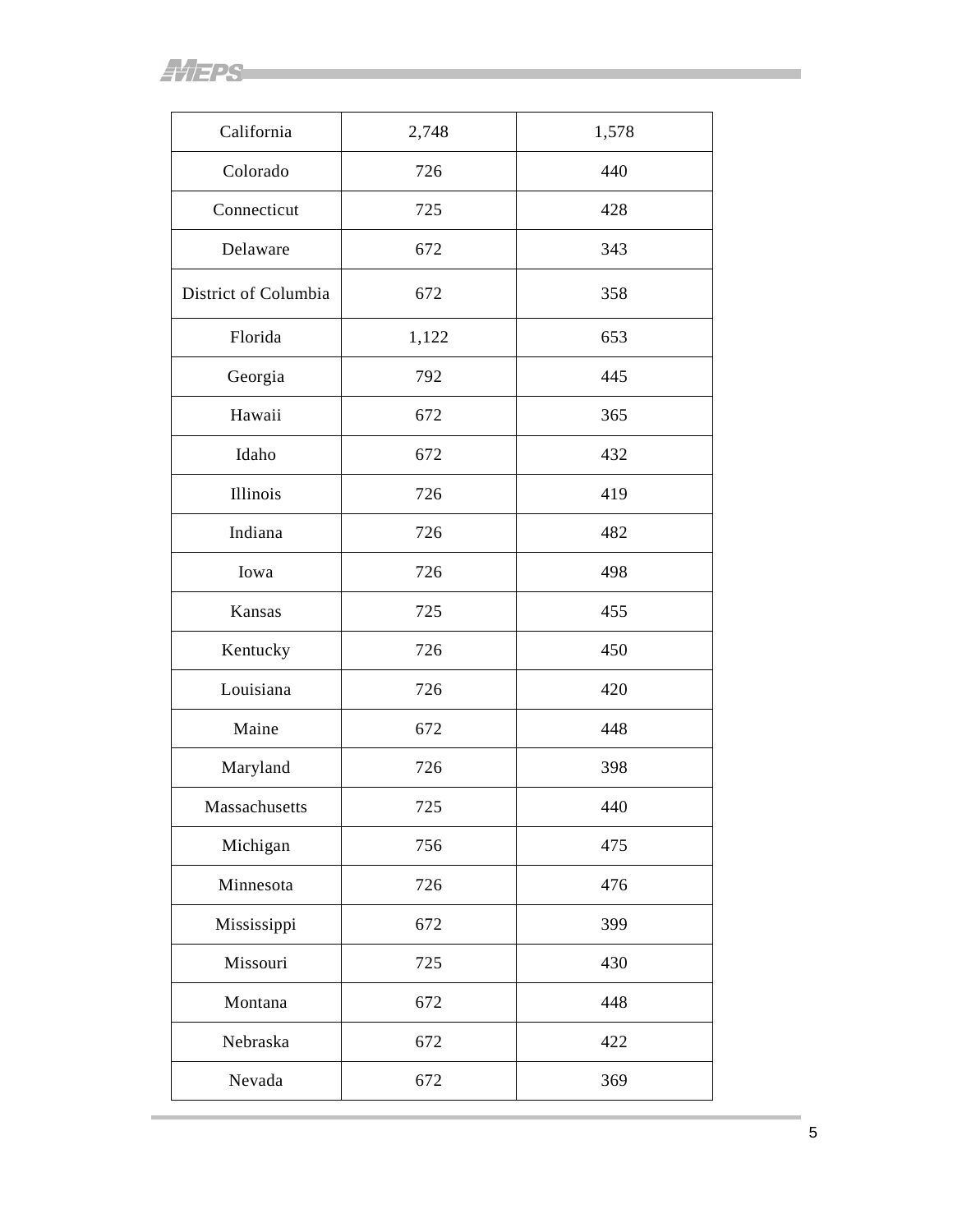$4/$  FPS

| California           | 2,748 | 1,578 |
|----------------------|-------|-------|
| Colorado             | 726   | 440   |
|                      |       |       |
| Connecticut          | 725   | 428   |
| Delaware             | 672   | 343   |
| District of Columbia | 672   | 358   |
| Florida              | 1,122 | 653   |
| Georgia              | 792   | 445   |
| Hawaii               | 672   | 365   |
| Idaho                | 672   | 432   |
| Illinois             | 726   | 419   |
| Indiana              | 726   | 482   |
| Iowa                 | 726   | 498   |
| Kansas               | 725   | 455   |
| Kentucky             | 726   | 450   |
| Louisiana            | 726   | 420   |
| Maine                | 672   | 448   |
| Maryland             | 726   | 398   |
| Massachusetts        | 725   | 440   |
| Michigan             | 756   | 475   |
| Minnesota            | 726   | 476   |
| Mississippi          | 672   | 399   |
| Missouri             | 725   | 430   |
| Montana              | 672   | 448   |
| Nebraska             | 672   | 422   |
| Nevada               | 672   | 369   |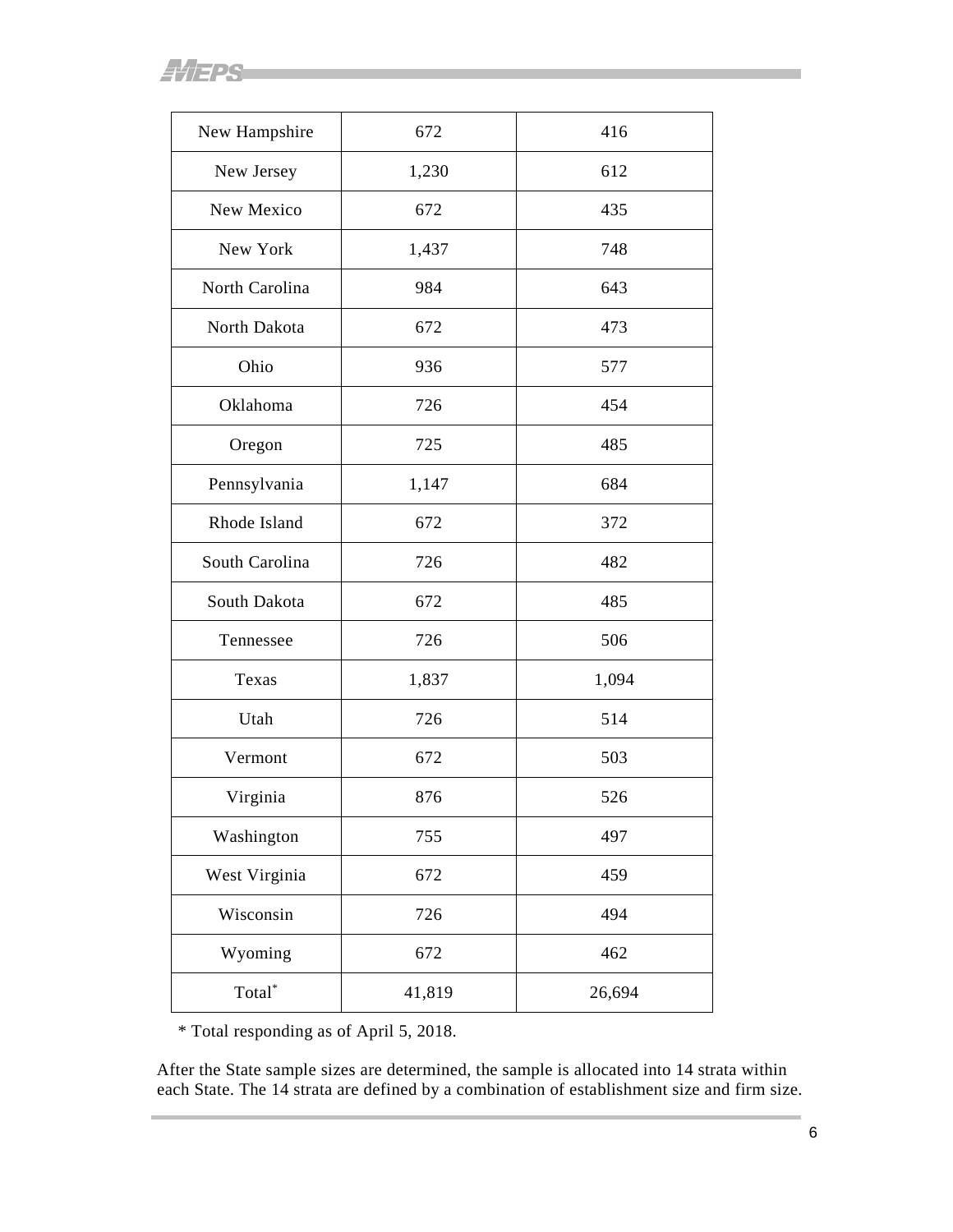**AVEPS** 

| New Hampshire      | 672    | 416    |
|--------------------|--------|--------|
| New Jersey         | 1,230  | 612    |
| New Mexico         | 672    | 435    |
| New York           | 1,437  | 748    |
| North Carolina     | 984    | 643    |
| North Dakota       | 672    | 473    |
| Ohio               | 936    | 577    |
| Oklahoma           | 726    | 454    |
| Oregon             | 725    | 485    |
| Pennsylvania       | 1,147  | 684    |
| Rhode Island       | 672    | 372    |
| South Carolina     | 726    | 482    |
| South Dakota       | 672    | 485    |
| Tennessee          | 726    | 506    |
| Texas              | 1,837  | 1,094  |
| Utah               | 726    | 514    |
| Vermont            | 672    | 503    |
| Virginia           | 876    | 526    |
| Washington         | 755    | 497    |
| West Virginia      | 672    | 459    |
| Wisconsin          | 726    | 494    |
| Wyoming            | 672    | 462    |
| Total <sup>*</sup> | 41,819 | 26,694 |

\* Total responding as of April 5, 2018.

After the State sample sizes are determined, the sample is allocated into 14 strata within each State. The 14 strata are defined by a combination of establishment size and firm size.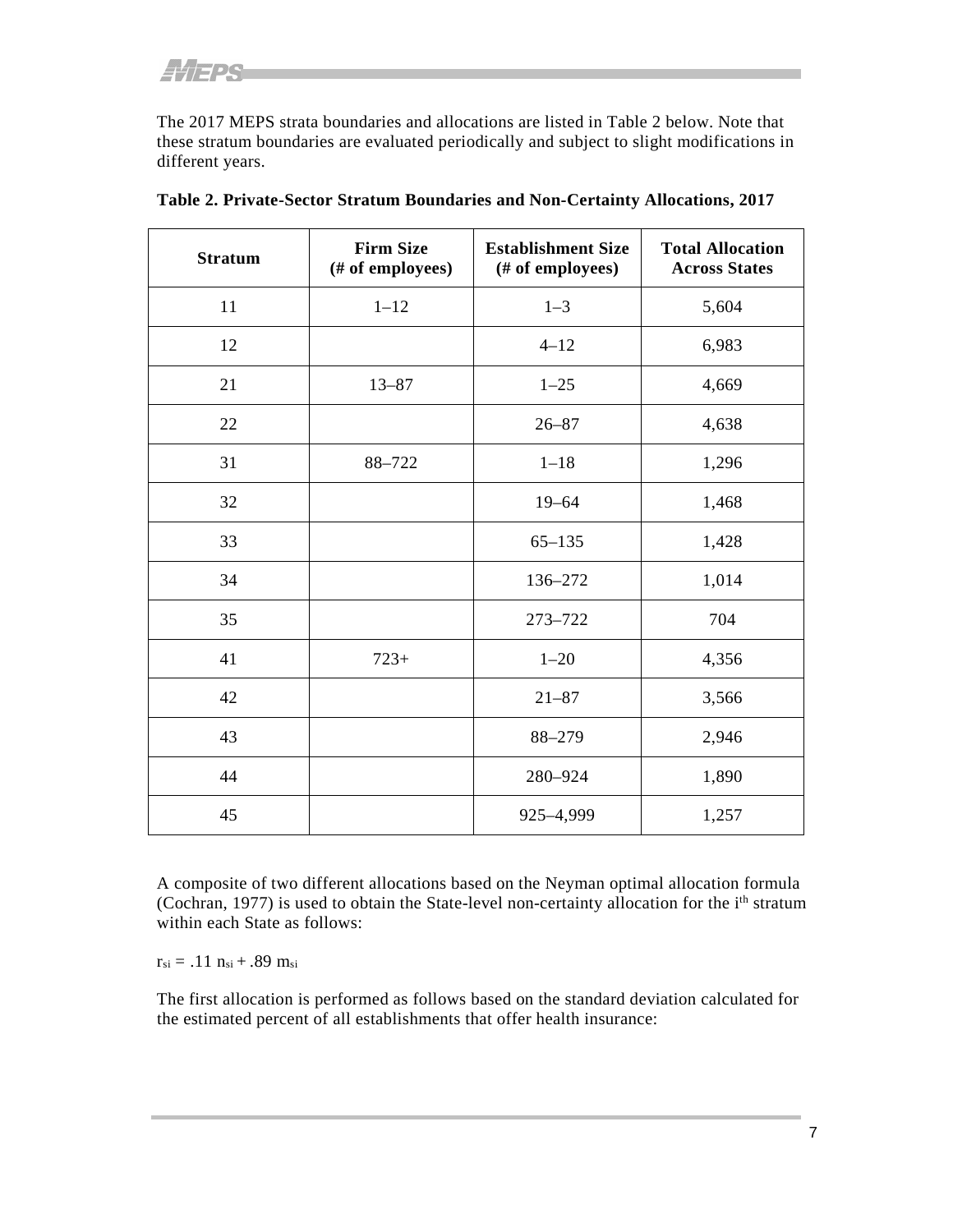The 2017 MEPS strata boundaries and allocations are listed in Table 2 below. Note that these stratum boundaries are evaluated periodically and subject to slight modifications in different years.

| <b>Stratum</b> | <b>Firm Size</b><br>(# of employees) | <b>Establishment Size</b><br>(# of employees) | <b>Total Allocation</b><br><b>Across States</b> |
|----------------|--------------------------------------|-----------------------------------------------|-------------------------------------------------|
| 11             | $1 - 12$                             | $1 - 3$                                       | 5,604                                           |
| 12             |                                      | $4 - 12$                                      | 6,983                                           |
| 21             | $13 - 87$                            | $1 - 25$                                      | 4,669                                           |
| 22             |                                      | $26 - 87$                                     | 4,638                                           |
| 31             | 88-722                               | $1 - 18$                                      | 1,296                                           |
| 32             |                                      | $19 - 64$                                     | 1,468                                           |
| 33             |                                      | $65 - 135$                                    | 1,428                                           |
| 34             |                                      | 136-272                                       | 1,014                                           |
| 35             |                                      | 273-722                                       | 704                                             |
| 41             | $723+$                               | $1 - 20$                                      | 4,356                                           |
| 42             |                                      | $21 - 87$                                     | 3,566                                           |
| 43             |                                      | 88-279                                        | 2,946                                           |
| 44             |                                      | 280-924                                       | 1,890                                           |
| 45             |                                      | 925-4,999                                     | 1,257                                           |

<span id="page-12-0"></span>

A composite of two different allocations based on the Neyman optimal allocation formula (Cochran, 1977) is used to obtain the State-level non-certainty allocation for the i<sup>th</sup> stratum within each State as follows:

 $r_{si} = .11 n_{si} + .89 m_{si}$ 

The first allocation is performed as follows based on the standard deviation calculated for the estimated percent of all establishments that offer health insurance: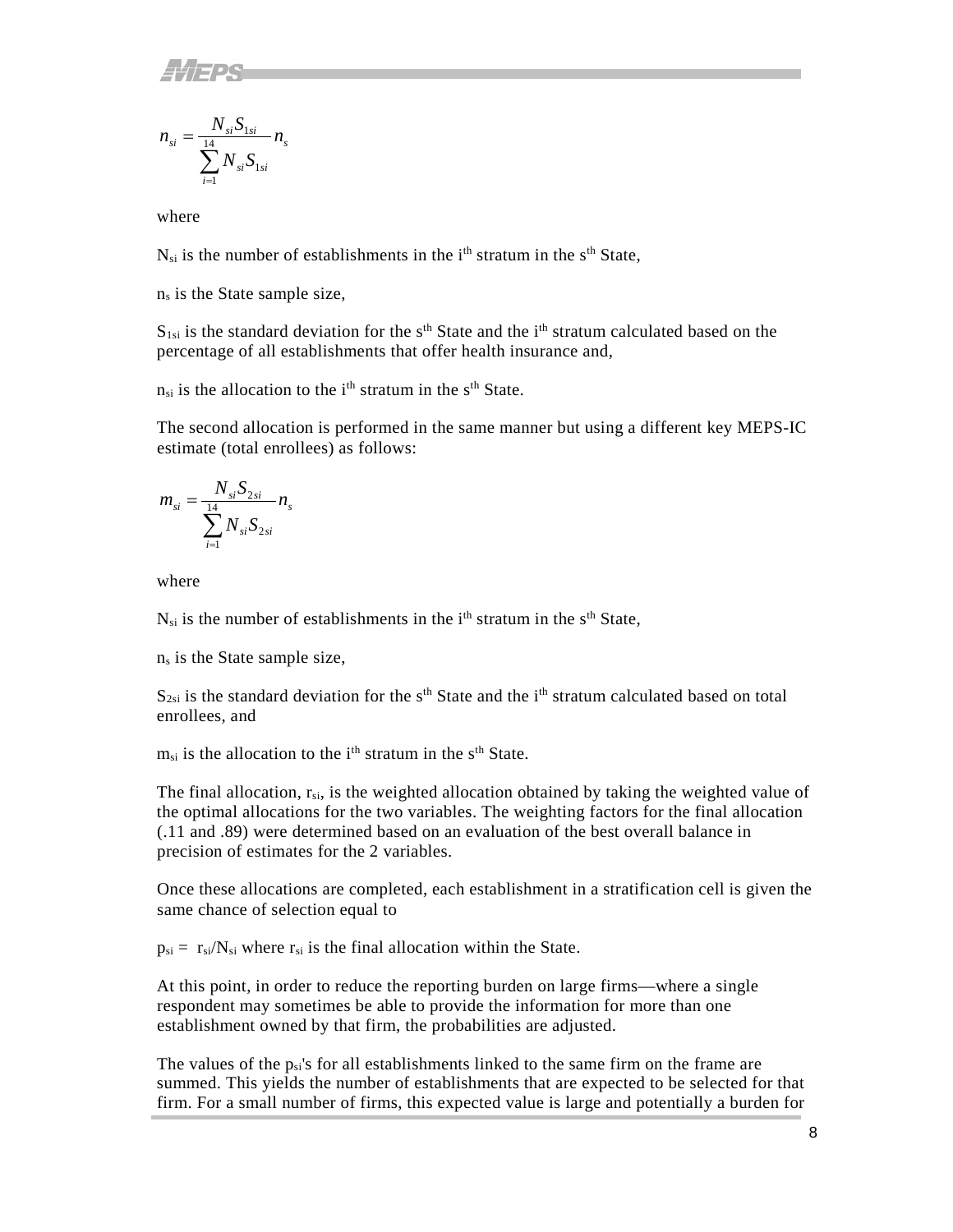$$
n_{si} = \frac{N_{si}S_{1si}}{\sum_{i=1}^{14} N_{si}S_{1si}} n_{s}
$$

where

 $N_{si}$  is the number of establishments in the i<sup>th</sup> stratum in the s<sup>th</sup> State,

ns is the State sample size,

 $S_{1si}$  is the standard deviation for the s<sup>th</sup> State and the i<sup>th</sup> stratum calculated based on the percentage of all establishments that offer health insurance and,

 $n_{si}$  is the allocation to the i<sup>th</sup> stratum in the s<sup>th</sup> State.

The second allocation is performed in the same manner but using a different key MEPS-IC estimate (total enrollees) as follows:

$$
m_{si} = \frac{N_{si}S_{2si}}{\sum_{i=1}^{14} N_{si}S_{2si}} n_{s}
$$

where

 $N_{si}$  is the number of establishments in the i<sup>th</sup> stratum in the s<sup>th</sup> State,

ns is the State sample size,

 $S_{2si}$  is the standard deviation for the s<sup>th</sup> State and the i<sup>th</sup> stratum calculated based on total enrollees, and

 $m_{si}$  is the allocation to the i<sup>th</sup> stratum in the s<sup>th</sup> State.

The final allocation,  $r_{si}$ , is the weighted allocation obtained by taking the weighted value of the optimal allocations for the two variables. The weighting factors for the final allocation (.11 and .89) were determined based on an evaluation of the best overall balance in precision of estimates for the 2 variables.

Once these allocations are completed, each establishment in a stratification cell is given the same chance of selection equal to

 $p_{si} = r_{si}/N_{si}$  where  $r_{si}$  is the final allocation within the State.

At this point, in order to reduce the reporting burden on large firms—where a single respondent may sometimes be able to provide the information for more than one establishment owned by that firm, the probabilities are adjusted.

The values of the  $p_{si}$ 's for all establishments linked to the same firm on the frame are summed. This yields the number of establishments that are expected to be selected for that firm. For a small number of firms, this expected value is large and potentially a burden for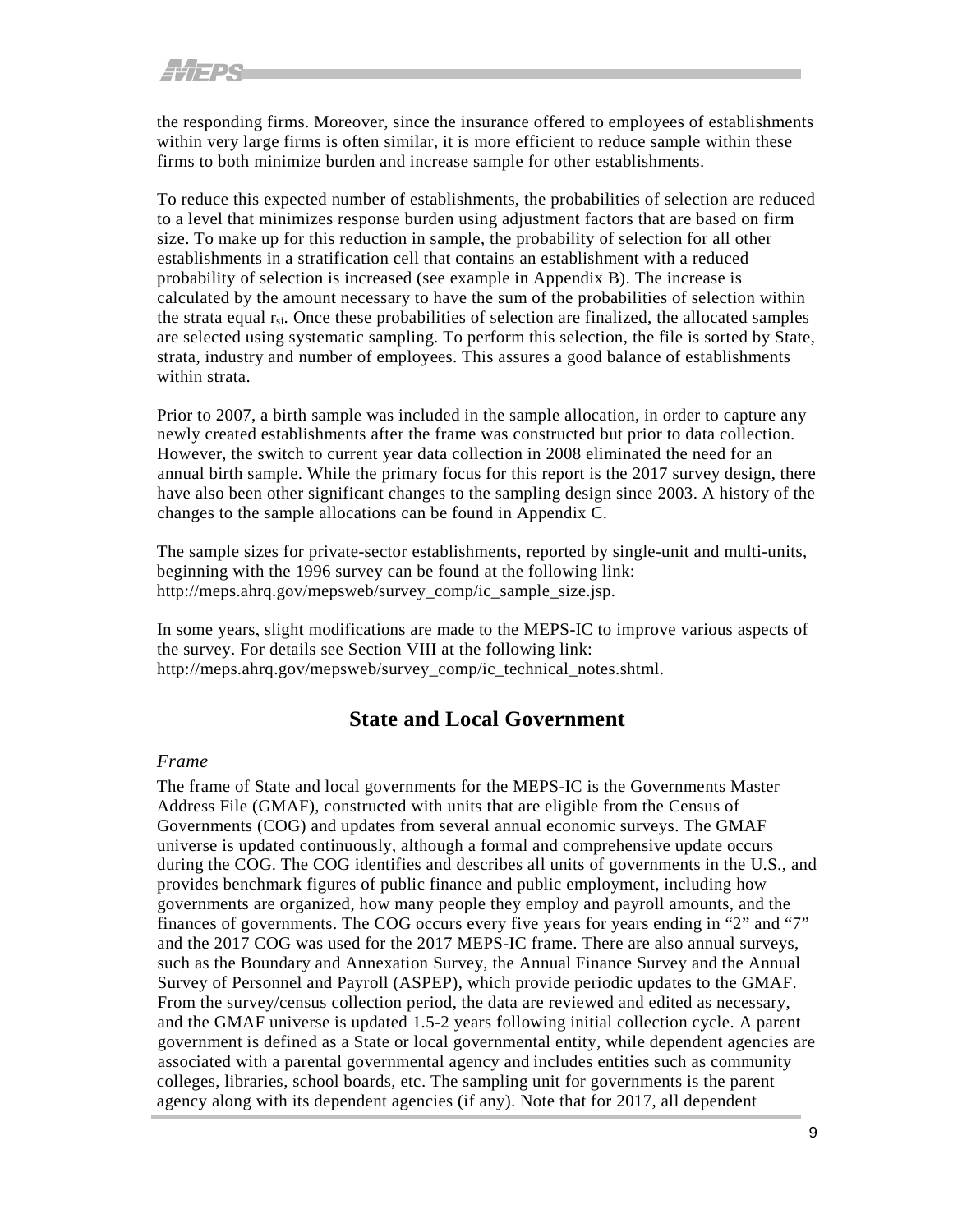<span id="page-14-3"></span><span id="page-14-2"></span>the responding firms. Moreover, since the insurance offered to employees of establishments within very large firms is often similar, it is more efficient to reduce sample within these firms to both minimize burden and increase sample for other establishments.

To reduce this expected number of establishments, the probabilities of selection are reduced to a level that minimizes response burden using adjustment factors that are based on firm size. To make up for this reduction in sample, the probability of selection for all other establishments in a stratification cell that contains an establishment with a reduced probability of selection is increased (see example in Appendix B). The increase is calculated by the amount necessary to have the sum of the probabilities of selection within the strata equal  $r_{si}$ . Once these probabilities of selection are finalized, the allocated samples are selected using systematic sampling. To perform this selection, the file is sorted by State, strata, industry and number of employees. This assures a good balance of establishments within strata.

Prior to 2007, a birth sample was included in the sample allocation, in order to capture any newly created establishments after the frame was constructed but prior to data collection. However, the switch to current year data collection in 2008 eliminated the need for an annual birth sample. While the primary focus for this report is the 2017 survey design, there have also been other significant changes to the sampling design since 2003. A history of the changes to the sample allocations can be found in Appendix C.

The sample sizes for private-sector establishments, reported by single-unit and multi-units, beginning with the 1996 survey can be found at the following link: [http://meps.ahrq.gov/mepsweb/survey\\_comp/ic\\_sample\\_size.jsp.](http://meps.ahrq.gov/mepsweb/survey_comp/ic_sample_size.jsp) 

In some years, slight modifications are made to the MEPS-IC to improve various aspects of the survey. For details see Section VIII at the following link: [http://meps.ahrq.gov/mepsweb/survey\\_comp/ic\\_technical\\_notes.shtml.](http://meps.ahrq.gov/mepsweb/survey_comp/ic_technical_notes.shtml)

#### **State and Local Government**

#### <span id="page-14-1"></span><span id="page-14-0"></span>*Frame*

The frame of State and local governments for the MEPS-IC is the Governments Master Address File (GMAF), constructed with units that are eligible from the Census of Governments (COG) and updates from several annual economic surveys. The GMAF universe is updated continuously, although a formal and comprehensive update occurs during the COG. The COG identifies and describes all units of governments in the U.S., and provides benchmark figures of public finance and public employment, including how governments are organized, how many people they employ and payroll amounts, and the finances of governments. The COG occurs every five years for years ending in "2" and "7" and the 2017 COG was used for the 2017 MEPS-IC frame. There are also annual surveys, such as the Boundary and Annexation Survey, the Annual Finance Survey and the Annual Survey of Personnel and Payroll (ASPEP), which provide periodic updates to the GMAF. From the survey/census collection period, the data are reviewed and edited as necessary, and the GMAF universe is updated 1.5-2 years following initial collection cycle. A parent government is defined as a State or local governmental entity, while dependent agencies are associated with a parental governmental agency and includes entities such as community colleges, libraries, school boards, etc. The sampling unit for governments is the parent agency along with its dependent agencies (if any). Note that for 2017, all dependent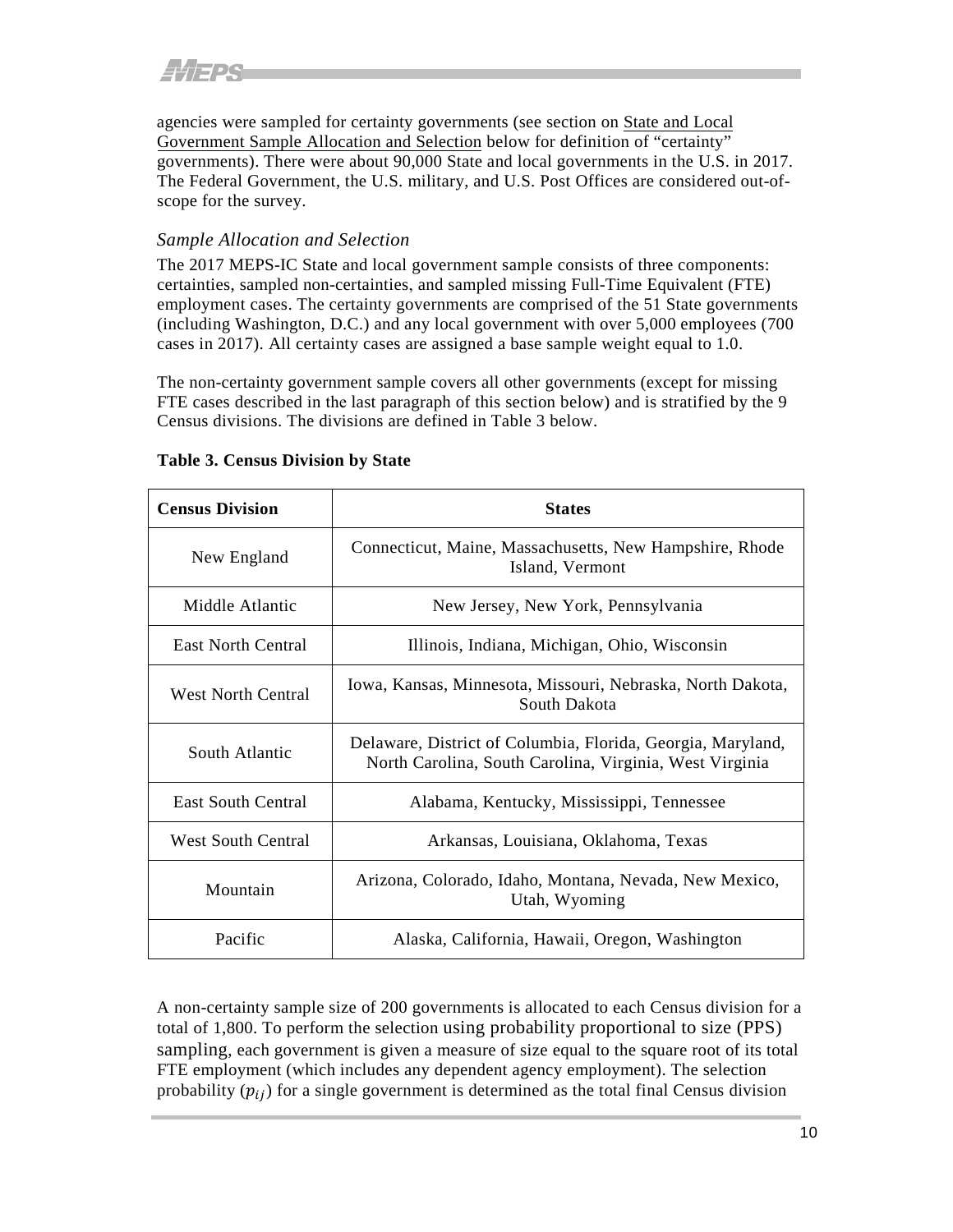<span id="page-15-2"></span>agencies were sampled for certainty governments (see section on State and Local [Government](#page-15-2) Sample Allocation and Selection below for definition of "certainty" governments). There were about 90,000 State and local governments in the U.S. in 2017. The Federal Government, the U.S. military, and U.S. Post Offices are considered out-ofscope for the survey.

#### <span id="page-15-0"></span>*Sample Allocation and Selection*

The 2017 MEPS-IC State and local government sample consists of three components: certainties, sampled non-certainties, and sampled missing Full-Time Equivalent (FTE) employment cases. The certainty governments are comprised of the 51 State governments (including Washington, D.C.) and any local government with over 5,000 employees (700 cases in 2017). All certainty cases are assigned a base sample weight equal to 1.0.

The non-certainty government sample covers all other governments (except for missing FTE cases described in the last paragraph of this section below) and is stratified by the 9 Census divisions. The divisions are defined in Table 3 below.

| <b>Census Division</b>    | <b>States</b>                                                                                                          |
|---------------------------|------------------------------------------------------------------------------------------------------------------------|
| New England               | Connecticut, Maine, Massachusetts, New Hampshire, Rhode<br>Island, Vermont                                             |
| Middle Atlantic           | New Jersey, New York, Pennsylvania                                                                                     |
| <b>East North Central</b> | Illinois, Indiana, Michigan, Ohio, Wisconsin                                                                           |
| <b>West North Central</b> | Iowa, Kansas, Minnesota, Missouri, Nebraska, North Dakota,<br>South Dakota                                             |
| South Atlantic            | Delaware, District of Columbia, Florida, Georgia, Maryland,<br>North Carolina, South Carolina, Virginia, West Virginia |
| <b>East South Central</b> | Alabama, Kentucky, Mississippi, Tennessee                                                                              |
| <b>West South Central</b> | Arkansas, Louisiana, Oklahoma, Texas                                                                                   |
| Mountain                  | Arizona, Colorado, Idaho, Montana, Nevada, New Mexico,<br>Utah, Wyoming                                                |
| Pacific                   | Alaska, California, Hawaii, Oregon, Washington                                                                         |

#### <span id="page-15-1"></span>**Table 3. Census Division by State**

A non-certainty sample size of 200 governments is allocated to each Census division for a total of 1,800. To perform the selection using probability proportional to size (PPS) sampling, each government is given a measure of size equal to the square root of its total FTE employment (which includes any dependent agency employment). The selection probability  $(p_{ij})$  for a single government is determined as the total final Census division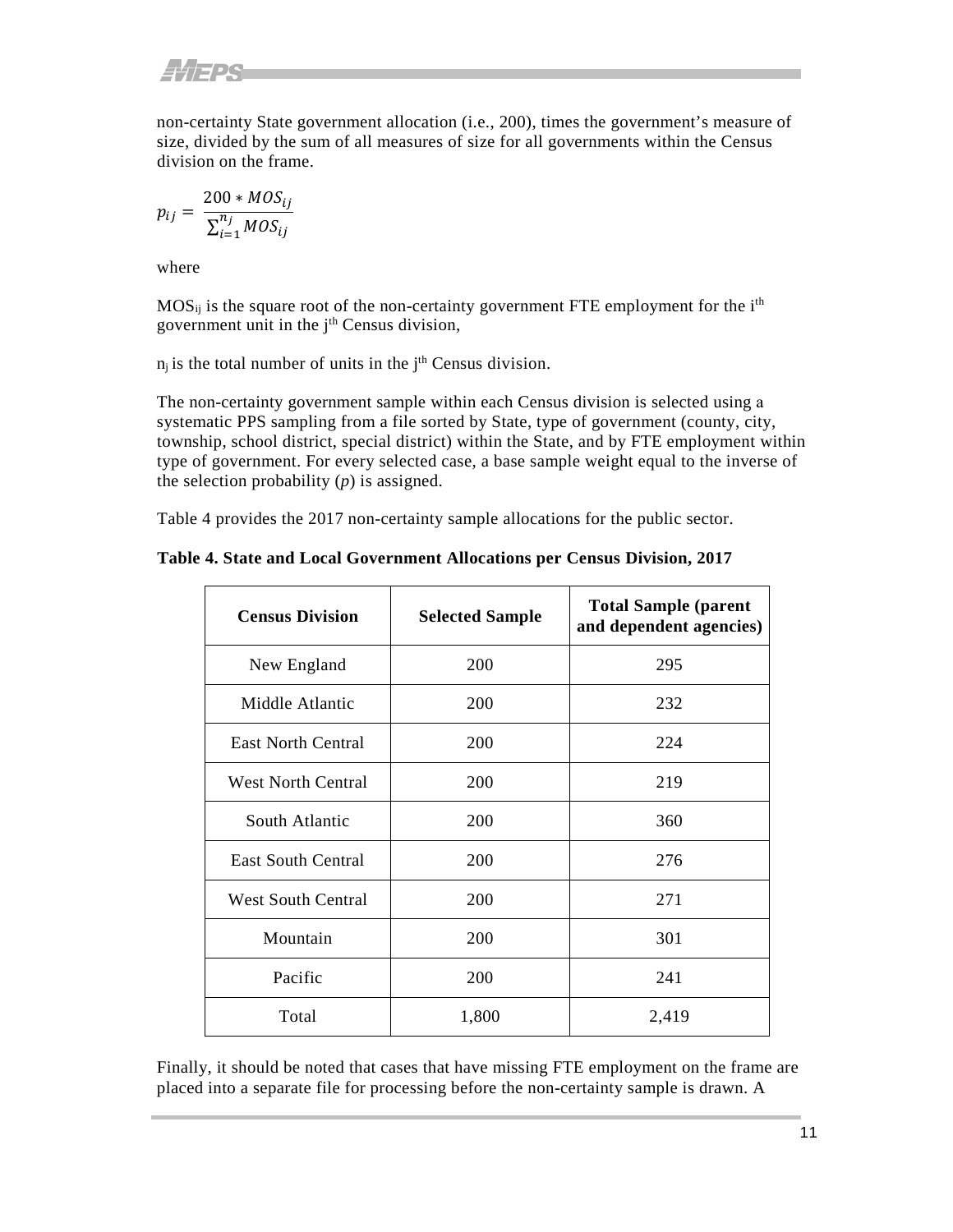non-certainty State government allocation (i.e., 200), times the government's measure of size, divided by the sum of all measures of size for all governments within the Census division on the frame.

$$
p_{ij} = \frac{200 * MOS_{ij}}{\sum_{i=1}^{n_j} MOS_{ij}}
$$

where

 $MOS_{ij}$  is the square root of the non-certainty government FTE employment for the i<sup>th</sup> government unit in the j<sup>th</sup> Census division,

 $n_j$  is the total number of units in the  $j<sup>th</sup>$  Census division.

The non-certainty government sample within each Census division is selected using a systematic PPS sampling from a file sorted by State, type of government (county, city, township, school district, special district) within the State, and by FTE employment within type of government. For every selected case, a base sample weight equal to the inverse of the selection probability (*p*) is assigned.

Table 4 provides the 2017 non-certainty sample allocations for the public sector.

<span id="page-16-0"></span>**Table 4. State and Local Government Allocations per Census Division, 2017**

| <b>Census Division</b>    | <b>Selected Sample</b> | <b>Total Sample (parent</b><br>and dependent agencies) |
|---------------------------|------------------------|--------------------------------------------------------|
| New England               | 200                    | 295                                                    |
| Middle Atlantic           | 200                    | 232                                                    |
| <b>East North Central</b> | 200                    | 224                                                    |
| <b>West North Central</b> | 200                    | 219                                                    |
| South Atlantic            | 200                    | 360                                                    |
| <b>East South Central</b> | 200                    | 276                                                    |
| <b>West South Central</b> | 200                    | 271                                                    |
| Mountain                  | 200                    | 301                                                    |
| Pacific                   | 200                    | 241                                                    |
| Total                     | 1,800                  | 2,419                                                  |

Finally, it should be noted that cases that have missing FTE employment on the frame are placed into a separate file for processing before the non-certainty sample is drawn. A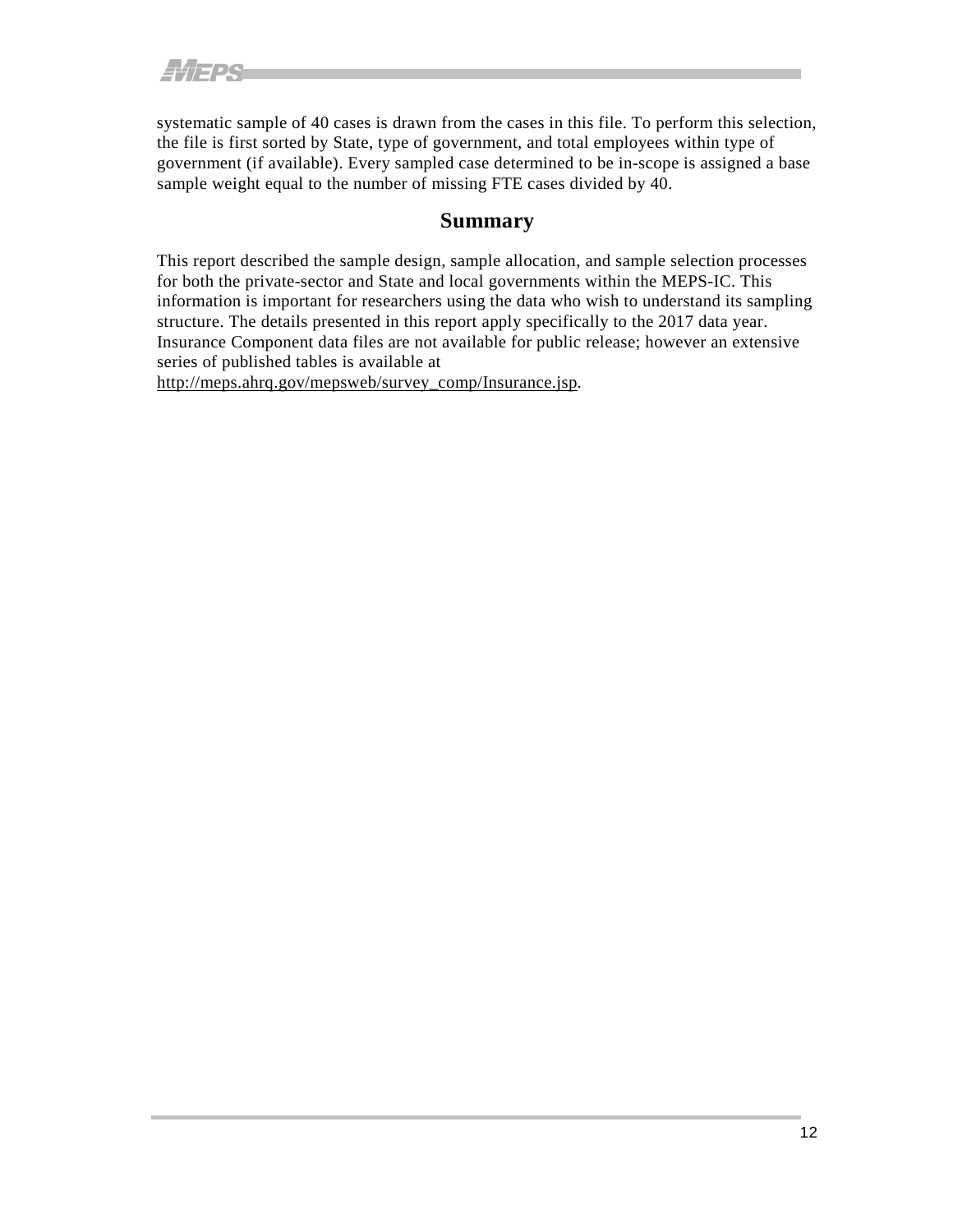systematic sample of 40 cases is drawn from the cases in this file. To perform this selection, the file is first sorted by State, type of government, and total employees within type of government (if available). Every sampled case determined to be in-scope is assigned a base sample weight equal to the number of missing FTE cases divided by 40.

#### **Summary**

<span id="page-17-0"></span>This report described the sample design, sample allocation, and sample selection processes for both the private-sector and State and local governments within the MEPS-IC. This information is important for researchers using the data who wish to understand its sampling structure. The details presented in this report apply specifically to the 2017 data year. Insurance Component data files are not available for public release; however an extensive series of published tables is available at

[http://meps.ahrq.gov/mepsweb/survey\\_comp/Insurance.jsp.](http://meps.ahrq.gov/mepsweb/survey_comp/Insurance.jsp)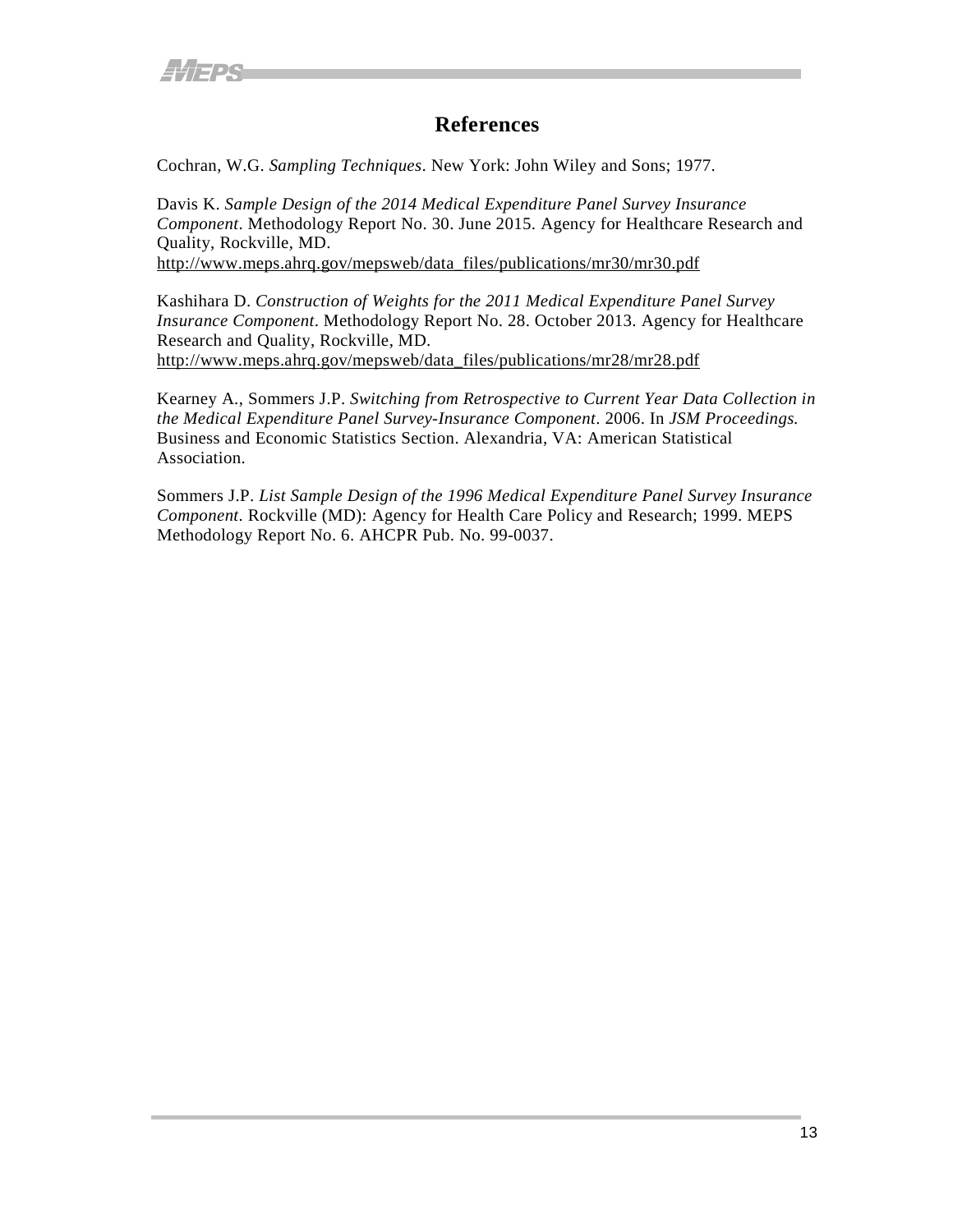#### **References**

<span id="page-18-0"></span>Cochran, W.G. *Sampling Techniques*. New York: John Wiley and Sons; 1977.

Davis K. *Sample Design of the 2014 Medical Expenditure Panel Survey Insurance Component*. Methodology Report No. 30. June 2015. Agency for Healthcare Research and Quality, Rockville, MD.

[http://www.meps.ahrq.gov/mepsweb/data\\_files/publications/mr30/mr30.pdf](http://www.meps.ahrq.gov/mepsweb/data_files/publications/mr30/mr30.pdf)

Kashihara D. *Construction of Weights for the 2011 Medical Expenditure Panel Survey Insurance Component*. Methodology Report No. 28. October 2013. Agency for Healthcare Research and Quality, Rockville, MD. [http://www.meps.ahrq.gov/mepsweb/data\\_files/publications/mr28/mr28.pdf](http://www.meps.ahrq.gov/mepsweb/data_files/publications/mr28/mr28.pdf)

Kearney A., Sommers J.P. *Switching from Retrospective to Current Year Data Collection in the Medical Expenditure Panel Survey-Insurance Component*. 2006. In *JSM Proceedings.* Business and Economic Statistics Section. Alexandria, VA: American Statistical Association.

Sommers J.P. *List Sample Design of the 1996 Medical Expenditure Panel Survey Insurance Component*. Rockville (MD): Agency for Health Care Policy and Research; 1999. MEPS Methodology Report No. 6. AHCPR Pub. No. 99-0037.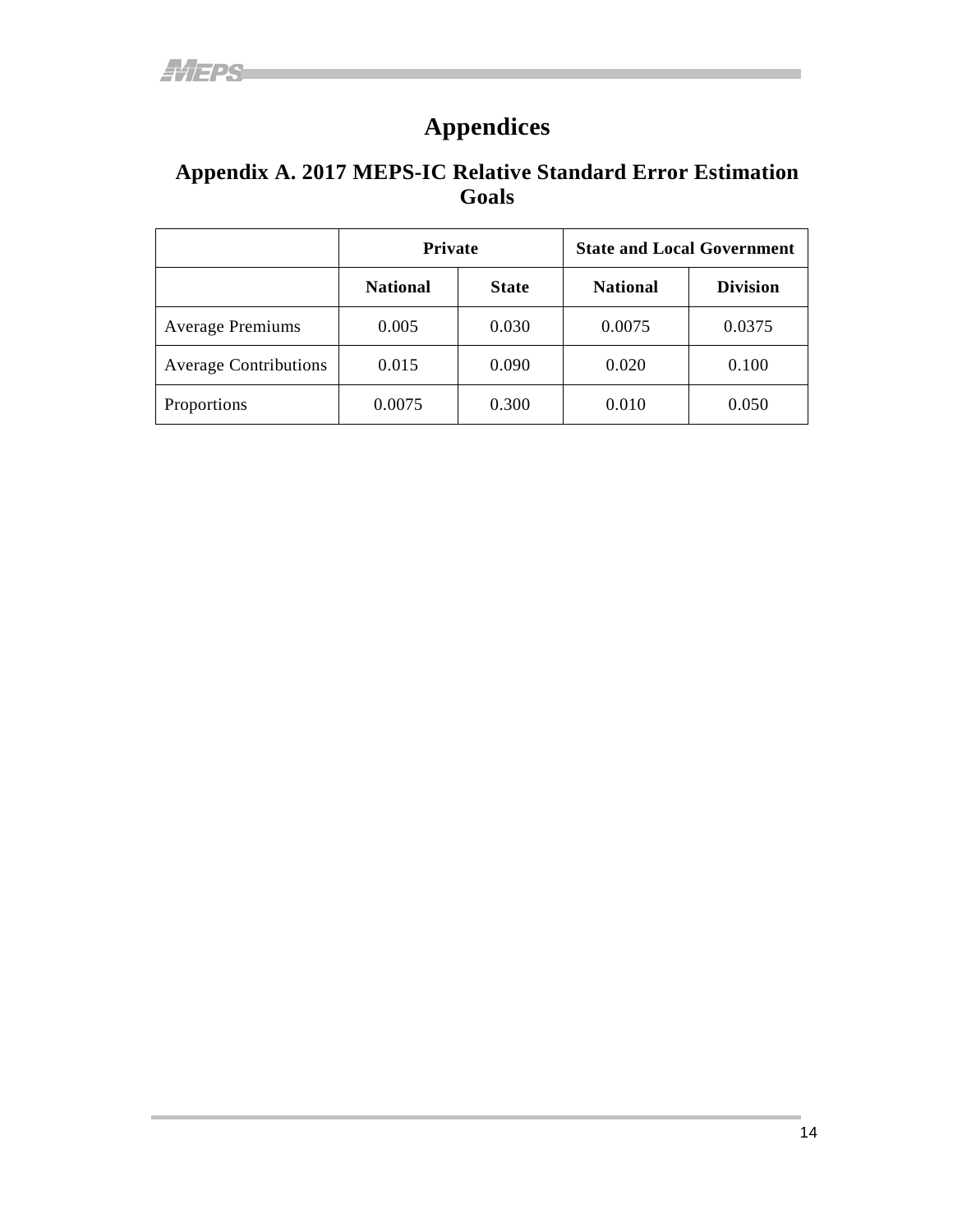## **Appendices**

#### <span id="page-19-1"></span><span id="page-19-0"></span>**Appendix A. 2017 MEPS-IC Relative Standard Error Estimation Goals**

|                              | <b>Private</b>  |              | <b>State and Local Government</b> |                 |
|------------------------------|-----------------|--------------|-----------------------------------|-----------------|
|                              | <b>National</b> | <b>State</b> | <b>National</b>                   | <b>Division</b> |
| <b>Average Premiums</b>      | 0.005           | 0.030        | 0.0075                            | 0.0375          |
| <b>Average Contributions</b> | 0.015           | 0.090        | 0.020                             | 0.100           |
| Proportions                  | 0.0075          | 0.300        | 0.010                             | 0.050           |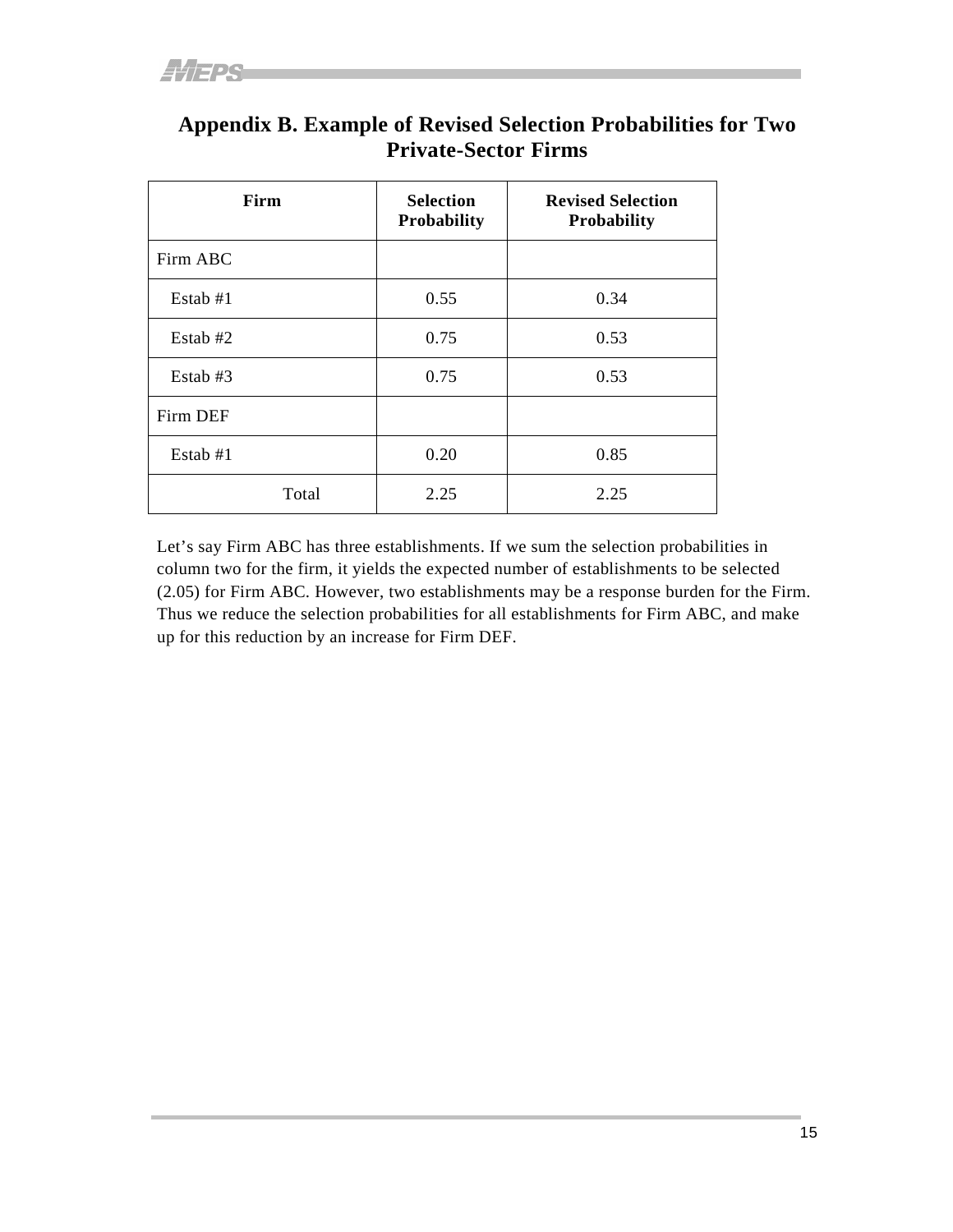| Firm     | <b>Selection</b><br>Probability | <b>Revised Selection</b><br><b>Probability</b> |
|----------|---------------------------------|------------------------------------------------|
| Firm ABC |                                 |                                                |
| Estab #1 | 0.55                            | 0.34                                           |
| Estab #2 | 0.75                            | 0.53                                           |
| Estab #3 | 0.75                            | 0.53                                           |
| Firm DEF |                                 |                                                |
| Estab #1 | 0.20                            | 0.85                                           |
| Total    | 2.25                            | 2.25                                           |

#### <span id="page-20-0"></span>**Appendix B. Example of Revised Selection Probabilities for Two Private-Sector Firms**

Let's say Firm ABC has three establishments. If we sum the selection probabilities in column two for the firm, it yields the expected number of establishments to be selected (2.05) for Firm ABC. However, two establishments may be a response burden for the Firm. Thus we reduce the selection probabilities for all establishments for Firm ABC, and make up for this reduction by an increase for Firm DEF.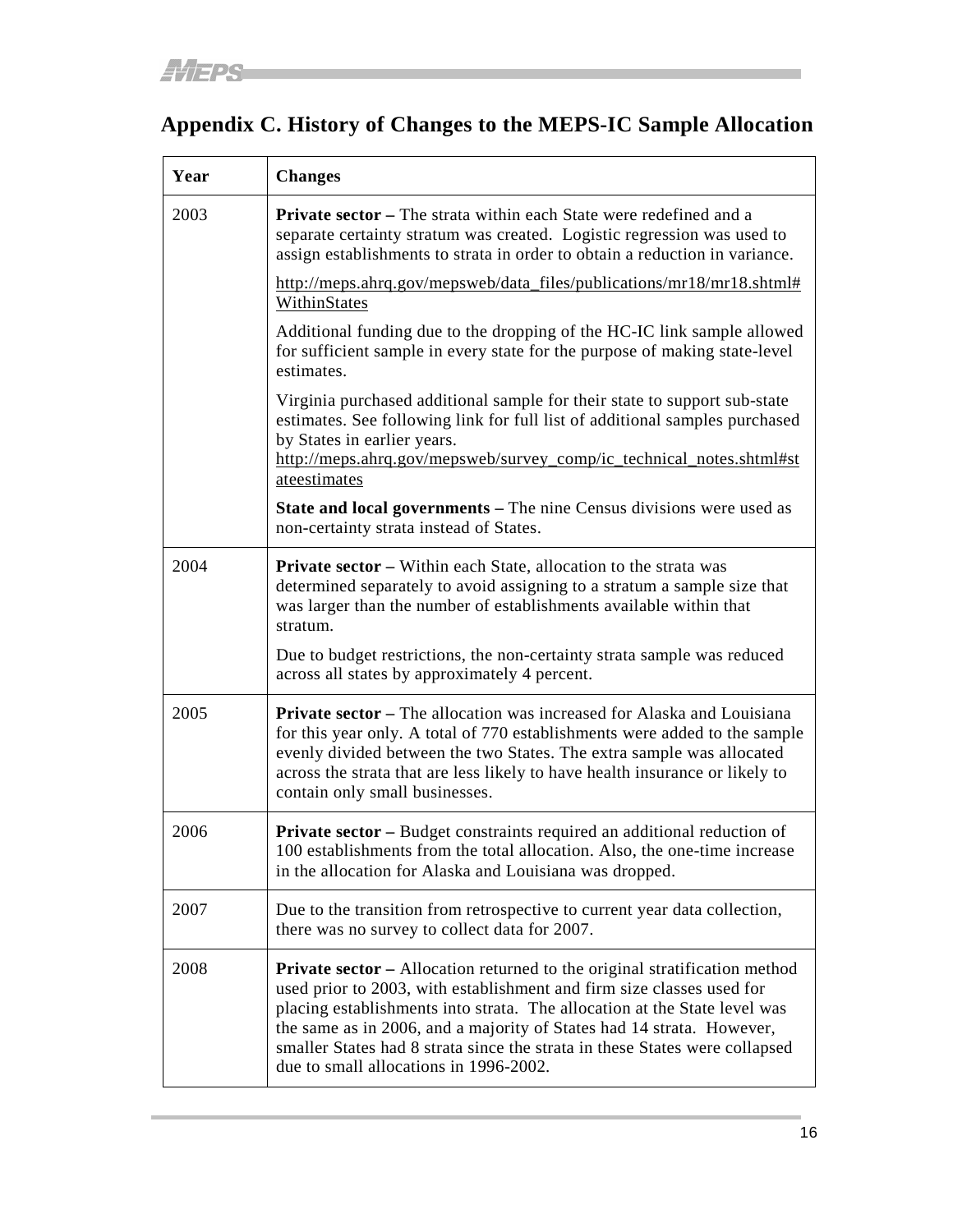## <span id="page-21-0"></span>**Appendix C. History of Changes to the MEPS-IC Sample Allocation**

| Year | <b>Changes</b>                                                                                                                                                                                                                                                                                                                                                                                                                            |
|------|-------------------------------------------------------------------------------------------------------------------------------------------------------------------------------------------------------------------------------------------------------------------------------------------------------------------------------------------------------------------------------------------------------------------------------------------|
| 2003 | <b>Private sector</b> – The strata within each State were redefined and a<br>separate certainty stratum was created. Logistic regression was used to<br>assign establishments to strata in order to obtain a reduction in variance.                                                                                                                                                                                                       |
|      | http://meps.ahrq.gov/mepsweb/data_files/publications/mr18/mr18.shtml#<br>WithinStates                                                                                                                                                                                                                                                                                                                                                     |
|      | Additional funding due to the dropping of the HC-IC link sample allowed<br>for sufficient sample in every state for the purpose of making state-level<br>estimates.                                                                                                                                                                                                                                                                       |
|      | Virginia purchased additional sample for their state to support sub-state<br>estimates. See following link for full list of additional samples purchased<br>by States in earlier years.<br>http://meps.ahrq.gov/mepsweb/survey_comp/ic_technical_notes.shtml#st<br>ateestimates                                                                                                                                                           |
|      | <b>State and local governments – The nine Census divisions were used as</b><br>non-certainty strata instead of States.                                                                                                                                                                                                                                                                                                                    |
| 2004 | <b>Private sector</b> – Within each State, allocation to the strata was<br>determined separately to avoid assigning to a stratum a sample size that<br>was larger than the number of establishments available within that<br>stratum.                                                                                                                                                                                                     |
|      | Due to budget restrictions, the non-certainty strata sample was reduced<br>across all states by approximately 4 percent.                                                                                                                                                                                                                                                                                                                  |
| 2005 | <b>Private sector</b> – The allocation was increased for Alaska and Louisiana<br>for this year only. A total of 770 establishments were added to the sample<br>evenly divided between the two States. The extra sample was allocated<br>across the strata that are less likely to have health insurance or likely to<br>contain only small businesses.                                                                                    |
| 2006 | Private sector - Budget constraints required an additional reduction of<br>100 establishments from the total allocation. Also, the one-time increase<br>in the allocation for Alaska and Louisiana was dropped.                                                                                                                                                                                                                           |
| 2007 | Due to the transition from retrospective to current year data collection,<br>there was no survey to collect data for 2007.                                                                                                                                                                                                                                                                                                                |
| 2008 | <b>Private sector</b> – Allocation returned to the original stratification method<br>used prior to 2003, with establishment and firm size classes used for<br>placing establishments into strata. The allocation at the State level was<br>the same as in 2006, and a majority of States had 14 strata. However,<br>smaller States had 8 strata since the strata in these States were collapsed<br>due to small allocations in 1996-2002. |